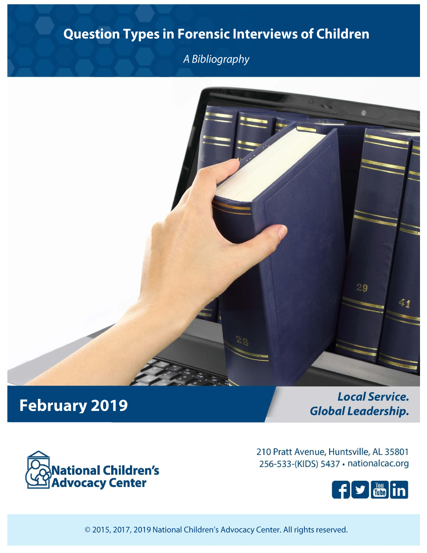# **Question Types in Forensic Interviews of Children**

A Bibliography



# **February 2019**

**Local Service. Global Leadership.** 



210 Pratt Avenue, Huntsville, AL 35801 256-533-(KIDS) 5437 · nationalcac.org



© 2015, 2017, 2019 National Children's Advocacy Center. All rights reserved.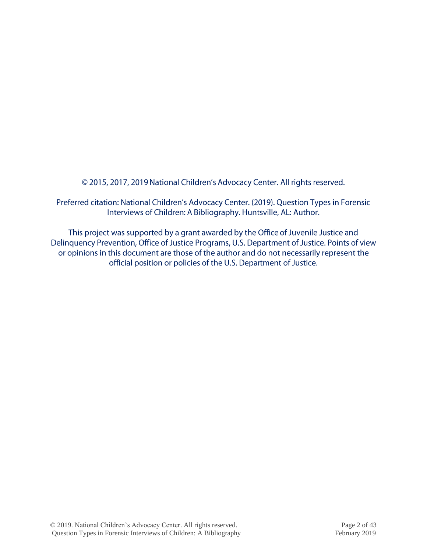© 2015, 2017, 2019 National Children's Advocacy Center. All rights reserved.

Preferred citation: National Children's Advocacy Center. (2019). Question Types in Forensic Interviews of Children: A Bibliography. Huntsville, AL: Author.

This project was supported by a grant awarded by the Office of Juvenile Justice and Delinquency Prevention, Office of Justice Programs, U.S. Department of Justice. Points of view or opinions in this document are those of the author and do not necessarily represent the official position or policies of the U.S. Department of Justice.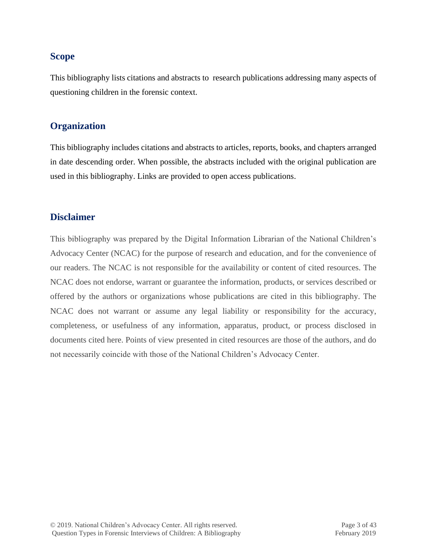# **Scope**

This bibliography lists citations and abstracts to research publications addressing many aspects of questioning children in the forensic context.

# **Organization**

This bibliography includes citations and abstracts to articles, reports, books, and chapters arranged in date descending order. When possible, the abstracts included with the original publication are used in this bibliography. Links are provided to open access publications.

# **Disclaimer**

This bibliography was prepared by the Digital Information Librarian of the National Children's Advocacy Center (NCAC) for the purpose of research and education, and for the convenience of our readers. The NCAC is not responsible for the availability or content of cited resources. The NCAC does not endorse, warrant or guarantee the information, products, or services described or offered by the authors or organizations whose publications are cited in this bibliography. The NCAC does not warrant or assume any legal liability or responsibility for the accuracy, completeness, or usefulness of any information, apparatus, product, or process disclosed in documents cited here. Points of view presented in cited resources are those of the authors, and do not necessarily coincide with those of the National Children's Advocacy Center.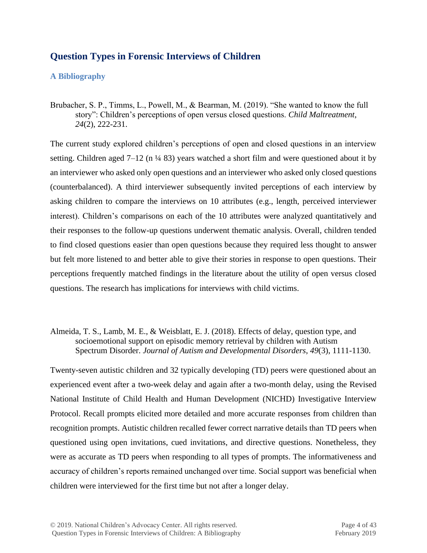# **Question Types in Forensic Interviews of Children**

# **A Bibliography**

Brubacher, S. P., Timms, L., Powell, M., & Bearman, M. (2019). "She wanted to know the full story": Children's perceptions of open versus closed questions. *Child Maltreatment*, *24*(2), 222-231.

The current study explored children's perceptions of open and closed questions in an interview setting. Children aged  $7-12$  (n  $\frac{1}{4}$  83) years watched a short film and were questioned about it by an interviewer who asked only open questions and an interviewer who asked only closed questions (counterbalanced). A third interviewer subsequently invited perceptions of each interview by asking children to compare the interviews on 10 attributes (e.g., length, perceived interviewer interest). Children's comparisons on each of the 10 attributes were analyzed quantitatively and their responses to the follow-up questions underwent thematic analysis. Overall, children tended to find closed questions easier than open questions because they required less thought to answer but felt more listened to and better able to give their stories in response to open questions. Their perceptions frequently matched findings in the literature about the utility of open versus closed questions. The research has implications for interviews with child victims.

#### Almeida, T. S., Lamb, M. E., & Weisblatt, E. J. (2018). Effects of delay, question type, and socioemotional support on episodic memory retrieval by children with Autism Spectrum Disorder. *Journal of Autism and Developmental Disorders*, *49*(3), 1111-1130.

Twenty-seven autistic children and 32 typically developing (TD) peers were questioned about an experienced event after a two-week delay and again after a two-month delay, using the Revised National Institute of Child Health and Human Development (NICHD) Investigative Interview Protocol. Recall prompts elicited more detailed and more accurate responses from children than recognition prompts. Autistic children recalled fewer correct narrative details than TD peers when questioned using open invitations, cued invitations, and directive questions. Nonetheless, they were as accurate as TD peers when responding to all types of prompts. The informativeness and accuracy of children's reports remained unchanged over time. Social support was beneficial when children were interviewed for the first time but not after a longer delay.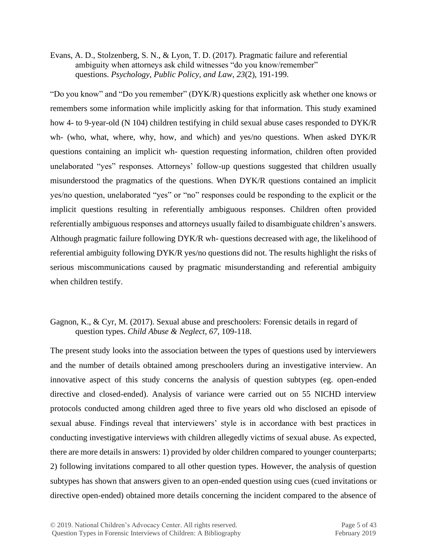Evans, A. D., Stolzenberg, S. N., & Lyon, T. D. (2017). [Pragmatic failure and referential](https://www.researchgate.net/profile/Thomas_Lyon/publication/312958610_Pragmatic_Failure_and_Referential_Ambiguity_When_Attorneys_Ask_Child_Witnesses_Do_You_KnowRemember_Questions/links/591cd41045851540595a8d50/Pragmatic-Failure-and-Referential-Ambiguity-When-Attorneys-Ask-Child-Witnesses-Do-You-Know-Remember-Questions.pdf)  [ambiguity when attorneys ask child witnesses "do you know/remember"](https://www.researchgate.net/profile/Thomas_Lyon/publication/312958610_Pragmatic_Failure_and_Referential_Ambiguity_When_Attorneys_Ask_Child_Witnesses_Do_You_KnowRemember_Questions/links/591cd41045851540595a8d50/Pragmatic-Failure-and-Referential-Ambiguity-When-Attorneys-Ask-Child-Witnesses-Do-You-Know-Remember-Questions.pdf)  [questions.](https://www.researchgate.net/profile/Thomas_Lyon/publication/312958610_Pragmatic_Failure_and_Referential_Ambiguity_When_Attorneys_Ask_Child_Witnesses_Do_You_KnowRemember_Questions/links/591cd41045851540595a8d50/Pragmatic-Failure-and-Referential-Ambiguity-When-Attorneys-Ask-Child-Witnesses-Do-You-Know-Remember-Questions.pdf) *Psychology, Public Policy, and Law*, *23*(2), 191-199.

"Do you know" and "Do you remember" (DYK/R) questions explicitly ask whether one knows or remembers some information while implicitly asking for that information. This study examined how 4- to 9-year-old (N 104) children testifying in child sexual abuse cases responded to DYK/R wh- (who, what, where, why, how, and which) and yes/no questions. When asked DYK/R questions containing an implicit wh- question requesting information, children often provided unelaborated "yes" responses. Attorneys' follow-up questions suggested that children usually misunderstood the pragmatics of the questions. When DYK/R questions contained an implicit yes/no question, unelaborated "yes" or "no" responses could be responding to the explicit or the implicit questions resulting in referentially ambiguous responses. Children often provided referentially ambiguous responses and attorneys usually failed to disambiguate children's answers. Although pragmatic failure following DYK/R wh- questions decreased with age, the likelihood of referential ambiguity following DYK/R yes/no questions did not. The results highlight the risks of serious miscommunications caused by pragmatic misunderstanding and referential ambiguity when children testify.

#### Gagnon, K., & Cyr, M. (2017). Sexual abuse and preschoolers: Forensic details in regard of question types. *Child Abuse & Neglect, 67*, 109-118.

The present study looks into the association between the types of questions used by interviewers and the number of details obtained among preschoolers during an investigative interview. An innovative aspect of this study concerns the analysis of question subtypes (eg. open-ended directive and closed-ended). Analysis of variance were carried out on 55 NICHD interview protocols conducted among children aged three to five years old who disclosed an episode of sexual abuse. Findings reveal that interviewers' style is in accordance with best practices in conducting investigative interviews with children allegedly victims of sexual abuse. As expected, there are more details in answers: 1) provided by older children compared to younger counterparts; 2) following invitations compared to all other question types. However, the analysis of question subtypes has shown that answers given to an open-ended question using cues (cued invitations or directive open-ended) obtained more details concerning the incident compared to the absence of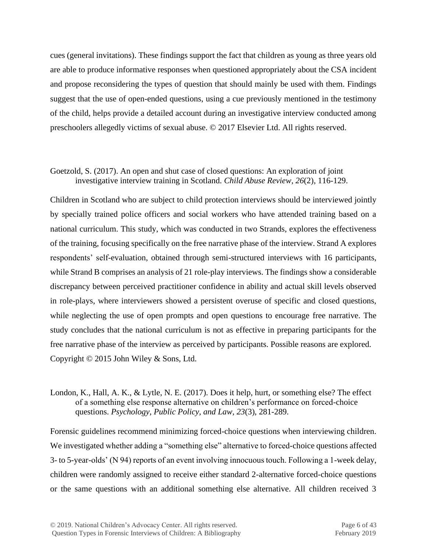cues (general invitations). These findings support the fact that children as young as three years old are able to produce informative responses when questioned appropriately about the CSA incident and propose reconsidering the types of question that should mainly be used with them. Findings suggest that the use of open-ended questions, using a cue previously mentioned in the testimony of the child, helps provide a detailed account during an investigative interview conducted among preschoolers allegedly victims of sexual abuse. © 2017 Elsevier Ltd. All rights reserved.

#### Goetzold, S. (2017). An open and shut case of closed questions: An exploration of joint investigative interview training in Scotland. *Child Abuse Review*, *26*(2), 116-129.

Children in Scotland who are subject to child protection interviews should be interviewed jointly by specially trained police officers and social workers who have attended training based on a national curriculum. This study, which was conducted in two Strands, explores the effectiveness of the training, focusing specifically on the free narrative phase of the interview. Strand A explores respondents' self-evaluation, obtained through semi-structured interviews with 16 participants, while Strand B comprises an analysis of 21 role-play interviews. The findings show a considerable discrepancy between perceived practitioner confidence in ability and actual skill levels observed in role-plays, where interviewers showed a persistent overuse of specific and closed questions, while neglecting the use of open prompts and open questions to encourage free narrative. The study concludes that the national curriculum is not as effective in preparing participants for the free narrative phase of the interview as perceived by participants. Possible reasons are explored. Copyright © 2015 John Wiley & Sons, Ltd.

#### London, K., Hall, A. K., & Lytle, N. E. (2017). Does it help, hurt, or something else? The effect of a something else response alternative on children's performance on forced-choice questions. *Psychology, Public Policy, and Law*, *23*(3), 281-289.

Forensic guidelines recommend minimizing forced-choice questions when interviewing children. We investigated whether adding a "something else" alternative to forced-choice questions affected 3- to 5-year-olds' (N 94) reports of an event involving innocuous touch. Following a 1-week delay, children were randomly assigned to receive either standard 2-alternative forced-choice questions or the same questions with an additional something else alternative. All children received 3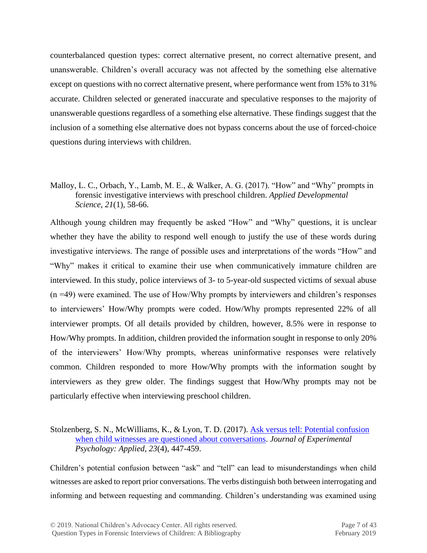counterbalanced question types: correct alternative present, no correct alternative present, and unanswerable. Children's overall accuracy was not affected by the something else alternative except on questions with no correct alternative present, where performance went from 15% to 31% accurate. Children selected or generated inaccurate and speculative responses to the majority of unanswerable questions regardless of a something else alternative. These findings suggest that the inclusion of a something else alternative does not bypass concerns about the use of forced-choice questions during interviews with children.

# Malloy, L. C., Orbach, Y., Lamb, M. E., & Walker, A. G. (2017). "How" and "Why" prompts in forensic investigative interviews with preschool children. *Applied Developmental Science*, *21*(1), 58-66.

Although young children may frequently be asked "How" and "Why" questions, it is unclear whether they have the ability to respond well enough to justify the use of these words during investigative interviews. The range of possible uses and interpretations of the words "How" and "Why" makes it critical to examine their use when communicatively immature children are interviewed. In this study, police interviews of 3- to 5-year-old suspected victims of sexual abuse (n =49) were examined. The use of How/Why prompts by interviewers and children's responses to interviewers' How/Why prompts were coded. How/Why prompts represented 22% of all interviewer prompts. Of all details provided by children, however, 8.5% were in response to How/Why prompts. In addition, children provided the information sought in response to only 20% of the interviewers' How/Why prompts, whereas uninformative responses were relatively common. Children responded to more How/Why prompts with the information sought by interviewers as they grew older. The findings suggest that How/Why prompts may not be particularly effective when interviewing preschool children.

#### Stolzenberg, S. N., McWilliams, K., & Lyon, T. D. (2017). [Ask versus tell: Potential confusion](https://www.ncbi.nlm.nih.gov/pmc/articles/PMC6336111/)  [when child witnesses are questioned about conversations.](https://www.ncbi.nlm.nih.gov/pmc/articles/PMC6336111/) *Journal of Experimental Psychology: Applied, 23*(4), 447-459.

Children's potential confusion between "ask" and "tell" can lead to misunderstandings when child witnesses are asked to report prior conversations. The verbs distinguish both between interrogating and informing and between requesting and commanding. Children's understanding was examined using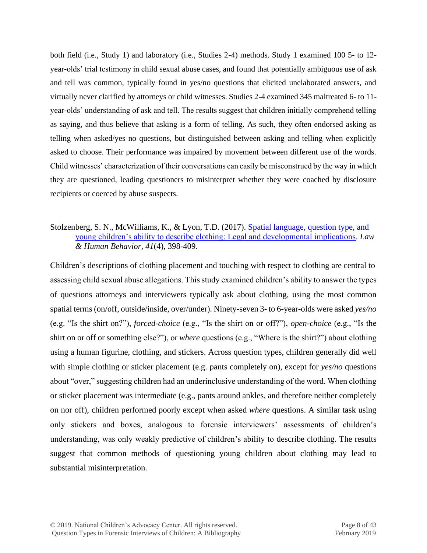both field (i.e., Study 1) and laboratory (i.e., Studies 2-4) methods. Study 1 examined 100 5- to 12 year-olds' trial testimony in child sexual abuse cases, and found that potentially ambiguous use of ask and tell was common, typically found in yes/no questions that elicited unelaborated answers, and virtually never clarified by attorneys or child witnesses. Studies 2-4 examined 345 maltreated 6- to 11 year-olds' understanding of ask and tell. The results suggest that children initially comprehend telling as saying, and thus believe that asking is a form of telling. As such, they often endorsed asking as telling when asked/yes no questions, but distinguished between asking and telling when explicitly asked to choose. Their performance was impaired by movement between different use of the words. Child witnesses' characterization of their conversations can easily be misconstrued by the way in which they are questioned, leading questioners to misinterpret whether they were coached by disclosure recipients or coerced by abuse suspects.

#### Stolzenberg, S. N., McWilliams, K., & Lyon, T.D. (2017). [Spatial language, question type, and](https://www.ncbi.nlm.nih.gov/pmc/articles/PMC5524603/)  [young children's ability to describe clothing: Legal and developmental implications.](https://www.ncbi.nlm.nih.gov/pmc/articles/PMC5524603/) *Law & Human Behavior, 41*(4), 398-409*.*

Children's descriptions of clothing placement and touching with respect to clothing are central to assessing child sexual abuse allegations. This study examined children's ability to answer the types of questions attorneys and interviewers typically ask about clothing, using the most common spatial terms (on/off, outside/inside, over/under). Ninety-seven 3- to 6-year-olds were asked *yes/no*  (e.g. "Is the shirt on?"), *forced-choice* (e.g., "Is the shirt on or off?"), *open-choice* (e.g., "Is the shirt on or off or something else?"), or *where* questions (e.g., "Where is the shirt?") about clothing using a human figurine, clothing, and stickers. Across question types, children generally did well with simple clothing or sticker placement (e.g. pants completely on), except for *yes/no* questions about "over," suggesting children had an underinclusive understanding of the word. When clothing or sticker placement was intermediate (e.g., pants around ankles, and therefore neither completely on nor off), children performed poorly except when asked *where* questions. A similar task using only stickers and boxes, analogous to forensic interviewers' assessments of children's understanding, was only weakly predictive of children's ability to describe clothing. The results suggest that common methods of questioning young children about clothing may lead to substantial misinterpretation.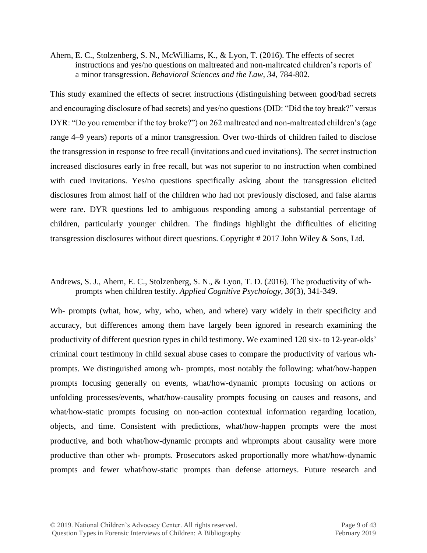Ahern, E. C., Stolzenberg, S. N., McWilliams, K., & Lyon, T. (2016). [The effects of secret](https://calio-org.calio.idm.oclc.org/images/the-effects-of-secret-instructions-and-yes-no-questions-on-maltreated-and-non-maltreated-childrens-reports-of-a-minor-transgression.pdf)  instructions and yes/no [questions on maltreated and non-maltreated children's reports of](https://calio-org.calio.idm.oclc.org/images/the-effects-of-secret-instructions-and-yes-no-questions-on-maltreated-and-non-maltreated-childrens-reports-of-a-minor-transgression.pdf)  [a minor transgression.](https://calio-org.calio.idm.oclc.org/images/the-effects-of-secret-instructions-and-yes-no-questions-on-maltreated-and-non-maltreated-childrens-reports-of-a-minor-transgression.pdf) *Behavioral Sciences and the Law, 34,* 784-802.

This study examined the effects of secret instructions (distinguishing between good/bad secrets and encouraging disclosure of bad secrets) and yes/no questions (DID: "Did the toy break?" versus DYR: "Do you remember if the toy broke?") on 262 maltreated and non-maltreated children's (age range 4–9 years) reports of a minor transgression. Over two-thirds of children failed to disclose the transgression in response to free recall (invitations and cued invitations). The secret instruction increased disclosures early in free recall, but was not superior to no instruction when combined with cued invitations. Yes/no questions specifically asking about the transgression elicited disclosures from almost half of the children who had not previously disclosed, and false alarms were rare. DYR questions led to ambiguous responding among a substantial percentage of children, particularly younger children. The findings highlight the difficulties of eliciting transgression disclosures without direct questions. Copyright # 2017 John Wiley & Sons, Ltd.

#### Andrews, S. J., Ahern, E. C., Stolzenberg, S. N., & Lyon, T. D. (2016). [The productivity of wh‐](https://www.researchgate.net/profile/Samantha_Andrews3/publication/283490198_The_Productivity_of_Wh-_Prompts_when_Children_Testify/links/57ff96ec08aec3e477ea94f7.pdf) [prompts when children testify.](https://www.researchgate.net/profile/Samantha_Andrews3/publication/283490198_The_Productivity_of_Wh-_Prompts_when_Children_Testify/links/57ff96ec08aec3e477ea94f7.pdf) *Applied Cognitive Psychology*, *30*(3), 341-349.

Wh- prompts (what, how, why, who, when, and where) vary widely in their specificity and accuracy, but differences among them have largely been ignored in research examining the productivity of different question types in child testimony. We examined 120 six- to 12-year-olds' criminal court testimony in child sexual abuse cases to compare the productivity of various whprompts. We distinguished among wh- prompts, most notably the following: what/how-happen prompts focusing generally on events, what/how-dynamic prompts focusing on actions or unfolding processes/events, what/how-causality prompts focusing on causes and reasons, and what/how-static prompts focusing on non-action contextual information regarding location, objects, and time. Consistent with predictions, what/how-happen prompts were the most productive, and both what/how-dynamic prompts and whprompts about causality were more productive than other wh- prompts. Prosecutors asked proportionally more what/how-dynamic prompts and fewer what/how-static prompts than defense attorneys. Future research and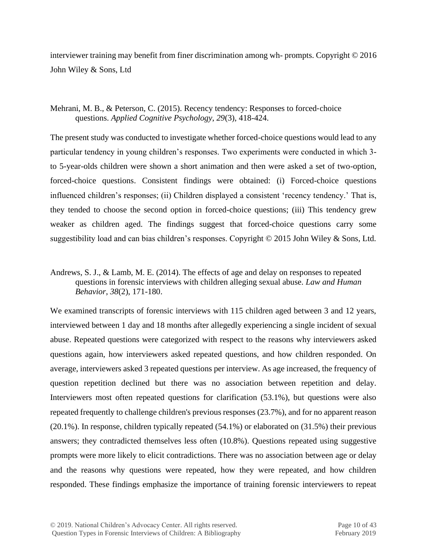interviewer training may benefit from finer discrimination among wh- prompts. Copyright © 2016 John Wiley & Sons, Ltd

# Mehrani, M. B., & Peterson, C. (2015). Recency tendency: Responses to forced‐choice questions. *Applied Cognitive Psychology*, *29*(3), 418-424.

The present study was conducted to investigate whether forced-choice questions would lead to any particular tendency in young children's responses. Two experiments were conducted in which 3 to 5-year-olds children were shown a short animation and then were asked a set of two-option, forced-choice questions. Consistent findings were obtained: (i) Forced-choice questions influenced children's responses; (ii) Children displayed a consistent 'recency tendency.' That is, they tended to choose the second option in forced-choice questions; (iii) This tendency grew weaker as children aged. The findings suggest that forced-choice questions carry some suggestibility load and can bias children's responses. Copyright © 2015 John Wiley & Sons, Ltd.

# Andrews, S. J., & Lamb, M. E. (2014). The effects of age and delay on responses to repeated questions in forensic interviews with children alleging sexual abuse. *Law and Human Behavior*, *38*(2), 171-180.

We examined transcripts of forensic interviews with 115 children aged between 3 and 12 years, interviewed between 1 day and 18 months after allegedly experiencing a single incident of sexual abuse. Repeated questions were categorized with respect to the reasons why interviewers asked questions again, how interviewers asked repeated questions, and how children responded. On average, interviewers asked 3 repeated questions per interview. As age increased, the frequency of question repetition declined but there was no association between repetition and delay. Interviewers most often repeated questions for clarification (53.1%), but questions were also repeated frequently to challenge children's previous responses (23.7%), and for no apparent reason (20.1%). In response, children typically repeated (54.1%) or elaborated on (31.5%) their previous answers; they contradicted themselves less often (10.8%). Questions repeated using suggestive prompts were more likely to elicit contradictions. There was no association between age or delay and the reasons why questions were repeated, how they were repeated, and how children responded. These findings emphasize the importance of training forensic interviewers to repeat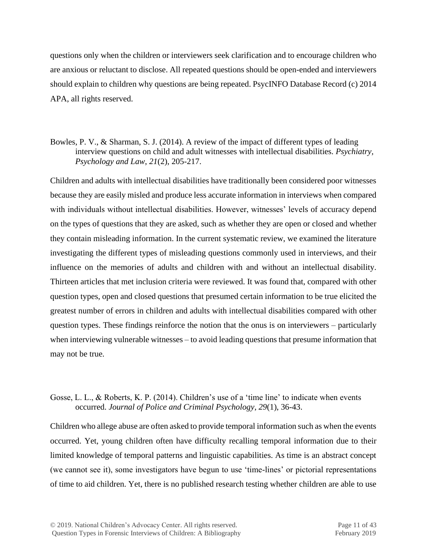questions only when the children or interviewers seek clarification and to encourage children who are anxious or reluctant to disclose. All repeated questions should be open-ended and interviewers should explain to children why questions are being repeated. PsycINFO Database Record (c) 2014 APA, all rights reserved.

Bowles, P. V., & Sharman, S. J. (2014). A review of the impact of different types of leading interview questions on child and adult witnesses with intellectual disabilities. *Psychiatry, Psychology and Law*, *21*(2), 205-217.

Children and adults with intellectual disabilities have traditionally been considered poor witnesses because they are easily misled and produce less accurate information in interviews when compared with individuals without intellectual disabilities. However, witnesses' levels of accuracy depend on the types of questions that they are asked, such as whether they are open or closed and whether they contain misleading information. In the current systematic review, we examined the literature investigating the different types of misleading questions commonly used in interviews, and their influence on the memories of adults and children with and without an intellectual disability. Thirteen articles that met inclusion criteria were reviewed. It was found that, compared with other question types, open and closed questions that presumed certain information to be true elicited the greatest number of errors in children and adults with intellectual disabilities compared with other question types. These findings reinforce the notion that the onus is on interviewers – particularly when interviewing vulnerable witnesses – to avoid leading questions that presume information that may not be true.

# Gosse, L. L., & Roberts, K. P. (2014). Children's use of a 'time line' to indicate when events occurred. *Journal of Police and Criminal Psychology*, *29*(1), 36-43.

Children who allege abuse are often asked to provide temporal information such as when the events occurred. Yet, young children often have difficulty recalling temporal information due to their limited knowledge of temporal patterns and linguistic capabilities. As time is an abstract concept (we cannot see it), some investigators have begun to use 'time-lines' or pictorial representations of time to aid children. Yet, there is no published research testing whether children are able to use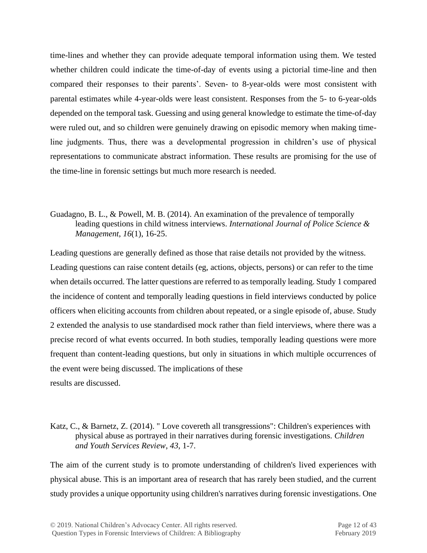time-lines and whether they can provide adequate temporal information using them. We tested whether children could indicate the time-of-day of events using a pictorial time-line and then compared their responses to their parents'. Seven- to 8-year-olds were most consistent with parental estimates while 4-year-olds were least consistent. Responses from the 5- to 6-year-olds depended on the temporal task. Guessing and using general knowledge to estimate the time-of-day were ruled out, and so children were genuinely drawing on episodic memory when making timeline judgments. Thus, there was a developmental progression in children's use of physical representations to communicate abstract information. These results are promising for the use of the time-line in forensic settings but much more research is needed.

# Guadagno, B. L., & Powell, M. B. (2014). An examination of the prevalence of temporally leading questions in child witness interviews. *International Journal of Police Science & Management*, *16*(1), 16-25.

Leading questions are generally defined as those that raise details not provided by the witness. Leading questions can raise content details (eg, actions, objects, persons) or can refer to the time when details occurred. The latter questions are referred to as temporally leading. Study 1 compared the incidence of content and temporally leading questions in field interviews conducted by police officers when eliciting accounts from children about repeated, or a single episode of, abuse. Study 2 extended the analysis to use standardised mock rather than field interviews, where there was a precise record of what events occurred. In both studies, temporally leading questions were more frequent than content-leading questions, but only in situations in which multiple occurrences of the event were being discussed. The implications of these results are discussed.

#### Katz, C., & Barnetz, Z. (2014). " Love covereth all transgressions": Children's experiences with physical abuse as portrayed in their narratives during forensic investigations. *Children and Youth Services Review*, *43*, 1-7.

The aim of the current study is to promote understanding of children's lived experiences with physical abuse. This is an important area of research that has rarely been studied, and the current study provides a unique opportunity using children's narratives during forensic investigations. One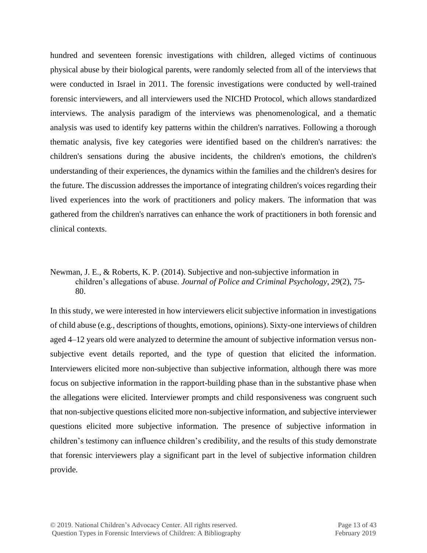hundred and seventeen forensic investigations with children, alleged victims of continuous physical abuse by their biological parents, were randomly selected from all of the interviews that were conducted in Israel in 2011. The forensic investigations were conducted by well-trained forensic interviewers, and all interviewers used the NICHD Protocol, which allows standardized interviews. The analysis paradigm of the interviews was phenomenological, and a thematic analysis was used to identify key patterns within the children's narratives. Following a thorough thematic analysis, five key categories were identified based on the children's narratives: the children's sensations during the abusive incidents, the children's emotions, the children's understanding of their experiences, the dynamics within the families and the children's desires for the future. The discussion addresses the importance of integrating children's voices regarding their lived experiences into the work of practitioners and policy makers. The information that was gathered from the children's narratives can enhance the work of practitioners in both forensic and clinical contexts.

Newman, J. E., & Roberts, K. P. (2014). Subjective and non-subjective information in children's allegations of abuse. *Journal of Police and Criminal Psychology*, *29*(2), 75- 80.

In this study, we were interested in how interviewers elicit subjective information in investigations of child abuse (e.g., descriptions of thoughts, emotions, opinions). Sixty-one interviews of children aged 4–12 years old were analyzed to determine the amount of subjective information versus nonsubjective event details reported, and the type of question that elicited the information. Interviewers elicited more non-subjective than subjective information, although there was more focus on subjective information in the rapport-building phase than in the substantive phase when the allegations were elicited. Interviewer prompts and child responsiveness was congruent such that non-subjective questions elicited more non-subjective information, and subjective interviewer questions elicited more subjective information. The presence of subjective information in children's testimony can influence children's credibility, and the results of this study demonstrate that forensic interviewers play a significant part in the level of subjective information children provide.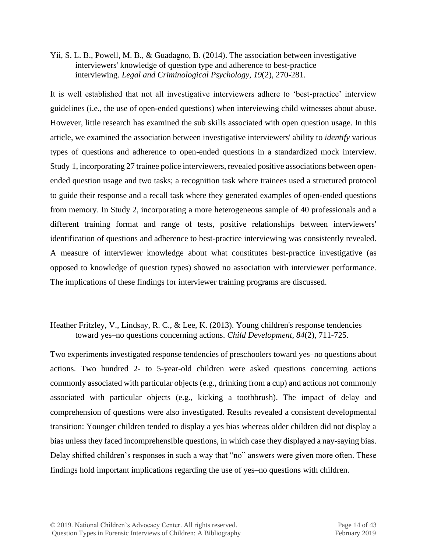Yii, S. L. B., Powell, M. B., & Guadagno, B. (2014). The association between investigative interviewers' knowledge of question type and adherence to best-practice interviewing. *Legal and Criminological Psychology*, *19*(2), 270-281.

It is well established that not all investigative interviewers adhere to 'best-practice' interview guidelines (i.e., the use of open-ended questions) when interviewing child witnesses about abuse. However, little research has examined the sub skills associated with open question usage. In this article, we examined the association between investigative interviewers' ability to *identify* various types of questions and adherence to open-ended questions in a standardized mock interview. Study 1, incorporating 27 trainee police interviewers, revealed positive associations between openended question usage and two tasks; a recognition task where trainees used a structured protocol to guide their response and a recall task where they generated examples of open-ended questions from memory. In Study 2, incorporating a more heterogeneous sample of 40 professionals and a different training format and range of tests, positive relationships between interviewers' identification of questions and adherence to best-practice interviewing was consistently revealed. A measure of interviewer knowledge about what constitutes best-practice investigative (as opposed to knowledge of question types) showed no association with interviewer performance. The implications of these findings for interviewer training programs are discussed.

# Heather Fritzley, V., Lindsay, R. C., & Lee, K. (2013). Young children's response tendencies [toward yes–no questions concerning actions.](http://www.ncbi.nlm.nih.gov/pmc/articles/PMC3566352/) *Child Development*, *84*(2), 711-725.

Two experiments investigated response tendencies of preschoolers toward yes–no questions about actions. Two hundred 2- to 5-year-old children were asked questions concerning actions commonly associated with particular objects (e.g., drinking from a cup) and actions not commonly associated with particular objects (e.g., kicking a toothbrush). The impact of delay and comprehension of questions were also investigated. Results revealed a consistent developmental transition: Younger children tended to display a yes bias whereas older children did not display a bias unless they faced incomprehensible questions, in which case they displayed a nay-saying bias. Delay shifted children's responses in such a way that "no" answers were given more often. These findings hold important implications regarding the use of yes–no questions with children.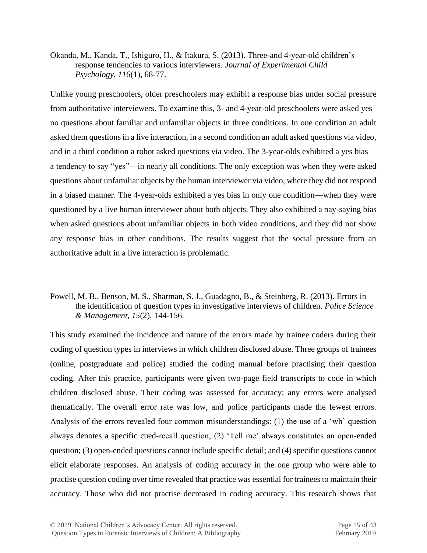Okanda, M., Kanda, T., Ishiguro, H., & Itakura, S. (2013). Three-and 4-year-old children's response tendencies to various interviewers. *Journal of Experimental Child Psychology*, *116*(1), 68-77.

Unlike young preschoolers, older preschoolers may exhibit a response bias under social pressure from authoritative interviewers. To examine this, 3- and 4-year-old preschoolers were asked yes– no questions about familiar and unfamiliar objects in three conditions. In one condition an adult asked them questions in a live interaction, in a second condition an adult asked questions via video, and in a third condition a robot asked questions via video. The 3-year-olds exhibited a yes bias a tendency to say "yes"—in nearly all conditions. The only exception was when they were asked questions about unfamiliar objects by the human interviewer via video, where they did not respond in a biased manner. The 4-year-olds exhibited a yes bias in only one condition—when they were questioned by a live human interviewer about both objects. They also exhibited a nay-saying bias when asked questions about unfamiliar objects in both video conditions, and they did not show any response bias in other conditions. The results suggest that the social pressure from an authoritative adult in a live interaction is problematic.

#### Powell, M. B., Benson, M. S., Sharman, S. J., Guadagno, B., & Steinberg, R. (2013). [Errors in](http://dro.deakin.edu.au/eserv/DU:30058925/powell-errorsinthe-2013.pdf)  [the identification of question types in investigative interviews of children.](http://dro.deakin.edu.au/eserv/DU:30058925/powell-errorsinthe-2013.pdf) *Police Science & Management*, *15*(2), 144-156.

This study examined the incidence and nature of the errors made by trainee coders during their coding of question types in interviews in which children disclosed abuse. Three groups of trainees (online, postgraduate and police) studied the coding manual before practising their question coding. After this practice, participants were given two-page field transcripts to code in which children disclosed abuse. Their coding was assessed for accuracy; any errors were analysed thematically. The overall error rate was low, and police participants made the fewest errors. Analysis of the errors revealed four common misunderstandings: (1) the use of a 'wh' question always denotes a specific cued-recall question; (2) 'Tell me' always constitutes an open-ended question; (3) open-ended questions cannot include specific detail; and (4) specific questions cannot elicit elaborate responses. An analysis of coding accuracy in the one group who were able to practise question coding over time revealed that practice was essential for trainees to maintain their accuracy. Those who did not practise decreased in coding accuracy. This research shows that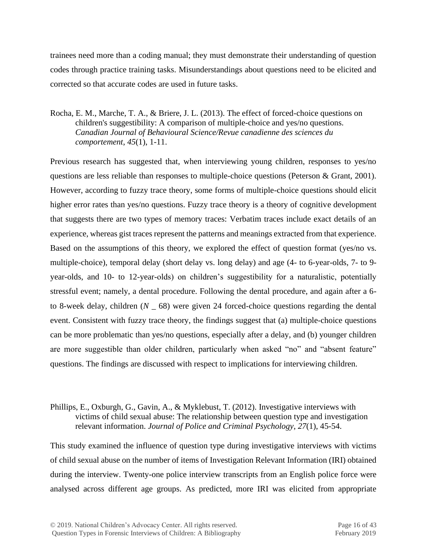trainees need more than a coding manual; they must demonstrate their understanding of question codes through practice training tasks. Misunderstandings about questions need to be elicited and corrected so that accurate codes are used in future tasks.

Rocha, E. M., Marche, T. A., & Briere, J. L. (2013). The effect of forced-choice questions on children's suggestibility: A comparison of multiple-choice and yes/no questions. *Canadian Journal of Behavioural Science/Revue canadienne des sciences du comportement*, *45*(1), 1-11.

Previous research has suggested that, when interviewing young children, responses to yes/no questions are less reliable than responses to multiple-choice questions (Peterson & Grant, 2001). However, according to fuzzy trace theory, some forms of multiple-choice questions should elicit higher error rates than yes/no questions. Fuzzy trace theory is a theory of cognitive development that suggests there are two types of memory traces: Verbatim traces include exact details of an experience, whereas gist traces represent the patterns and meanings extracted from that experience. Based on the assumptions of this theory, we explored the effect of question format (yes/no vs. multiple-choice), temporal delay (short delay vs. long delay) and age (4- to 6-year-olds, 7- to 9 year-olds, and 10- to 12-year-olds) on children's suggestibility for a naturalistic, potentially stressful event; namely, a dental procedure. Following the dental procedure, and again after a 6 to 8-week delay, children (*N* \_ 68) were given 24 forced-choice questions regarding the dental event. Consistent with fuzzy trace theory, the findings suggest that (a) multiple-choice questions can be more problematic than yes/no questions, especially after a delay, and (b) younger children are more suggestible than older children, particularly when asked "no" and "absent feature" questions. The findings are discussed with respect to implications for interviewing children.

#### Phillips, E., Oxburgh, G., Gavin, A., & Myklebust, T. (2012). Investigative interviews with victims of child sexual abuse: The relationship between question type and investigation relevant information. *Journal of Police and Criminal Psychology*, *27*(1), 45-54.

This study examined the influence of question type during investigative interviews with victims of child sexual abuse on the number of items of Investigation Relevant Information (IRI) obtained during the interview. Twenty-one police interview transcripts from an English police force were analysed across different age groups. As predicted, more IRI was elicited from appropriate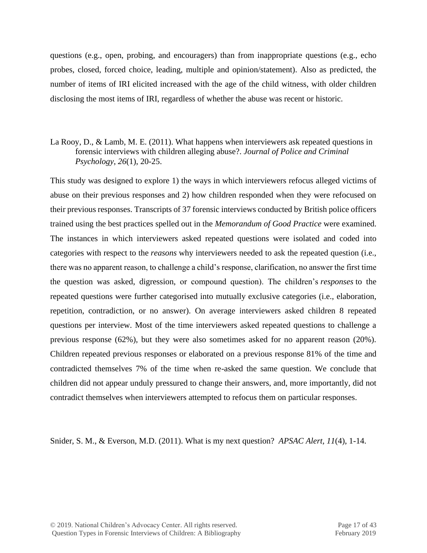questions (e.g., open, probing, and encouragers) than from inappropriate questions (e.g., echo probes, closed, forced choice, leading, multiple and opinion/statement). Also as predicted, the number of items of IRI elicited increased with the age of the child witness, with older children disclosing the most items of IRI, regardless of whether the abuse was recent or historic.

#### La Rooy, D., & Lamb, M. E. (2011). [What happens when interviewers ask repeated questions in](https://repository.abertay.ac.uk/jspui/bitstream/handle/10373/518/rq.pdf;jsessionid=F218B78855937D839AA6BA5F606D7E30?sequence=1)  [forensic interviews with children alleging abuse?](https://repository.abertay.ac.uk/jspui/bitstream/handle/10373/518/rq.pdf;jsessionid=F218B78855937D839AA6BA5F606D7E30?sequence=1). *Journal of Police and Criminal Psychology*, *26*(1), 20-25.

This study was designed to explore 1) the ways in which interviewers refocus alleged victims of abuse on their previous responses and 2) how children responded when they were refocused on their previous responses. Transcripts of 37 forensic interviews conducted by British police officers trained using the best practices spelled out in the *Memorandum of Good Practice* were examined. The instances in which interviewers asked repeated questions were isolated and coded into categories with respect to the *reasons* why interviewers needed to ask the repeated question (i.e., there was no apparent reason, to challenge a child's response, clarification, no answer the first time the question was asked, digression, or compound question). The children's *responses* to the repeated questions were further categorised into mutually exclusive categories (i.e., elaboration, repetition, contradiction, or no answer). On average interviewers asked children 8 repeated questions per interview. Most of the time interviewers asked repeated questions to challenge a previous response (62%), but they were also sometimes asked for no apparent reason (20%). Children repeated previous responses or elaborated on a previous response 81% of the time and contradicted themselves 7% of the time when re-asked the same question. We conclude that children did not appear unduly pressured to change their answers, and, more importantly, did not contradict themselves when interviewers attempted to refocus them on particular responses.

Snider, S. M., & Everson, M.D. (2011). What is my next question? *APSAC Alert, 11*(4), 1-14.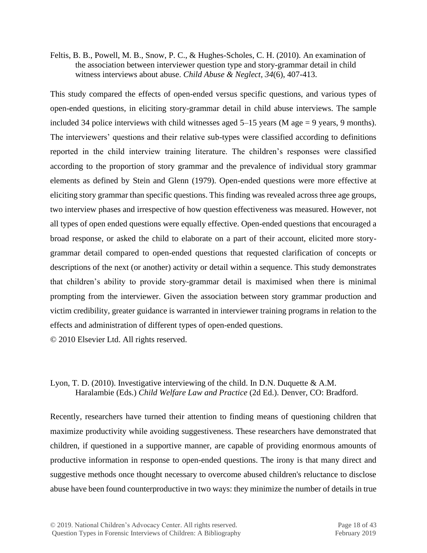Feltis, B. B., Powell, M. B., Snow, P. C., & Hughes-Scholes, C. H. (2010). An examination of the association between interviewer question type and story-grammar detail in child witness interviews about abuse. *Child Abuse & Neglect*, *34*(6), 407-413.

This study compared the effects of open-ended versus specific questions, and various types of open-ended questions, in eliciting story-grammar detail in child abuse interviews. The sample included 34 police interviews with child witnesses aged  $5-15$  years (M age = 9 years, 9 months). The interviewers' questions and their relative sub-types were classified according to definitions reported in the child interview training literature. The children's responses were classified according to the proportion of story grammar and the prevalence of individual story grammar elements as defined by Stein and Glenn (1979). Open-ended questions were more effective at eliciting story grammar than specific questions. This finding was revealed across three age groups, two interview phases and irrespective of how question effectiveness was measured. However, not all types of open ended questions were equally effective. Open-ended questions that encouraged a broad response, or asked the child to elaborate on a part of their account, elicited more storygrammar detail compared to open-ended questions that requested clarification of concepts or descriptions of the next (or another) activity or detail within a sequence. This study demonstrates that children's ability to provide story-grammar detail is maximised when there is minimal prompting from the interviewer. Given the association between story grammar production and victim credibility, greater guidance is warranted in interviewer training programs in relation to the effects and administration of different types of open-ended questions.

© 2010 Elsevier Ltd. All rights reserved.

#### Lyon, T. D. (2010). [Investigative interviewing of the child.](http://law.bepress.com/usclwps-lss/art59/) In D.N. Duquette & A.M. Haralambie (Eds.) *Child Welfare Law and Practice* (2d Ed.). Denver, CO: Bradford.

Recently, researchers have turned their attention to finding means of questioning children that maximize productivity while avoiding suggestiveness. These researchers have demonstrated that children, if questioned in a supportive manner, are capable of providing enormous amounts of productive information in response to open-ended questions. The irony is that many direct and suggestive methods once thought necessary to overcome abused children's reluctance to disclose abuse have been found counterproductive in two ways: they minimize the number of details in true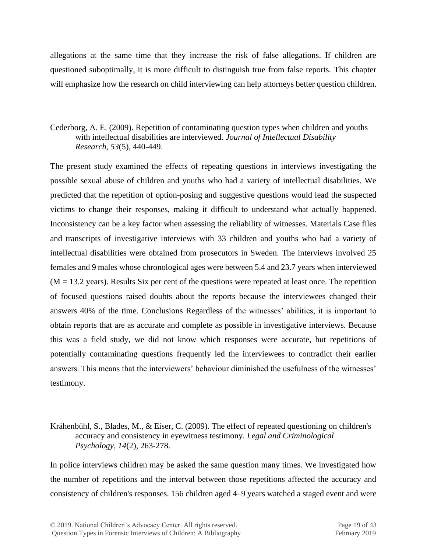allegations at the same time that they increase the risk of false allegations. If children are questioned suboptimally, it is more difficult to distinguish true from false reports. This chapter will emphasize how the research on child interviewing can help attorneys better question children.

# Cederborg, A. E. (2009). Repetition of contaminating question types when children and youths with intellectual disabilities are interviewed. *Journal of Intellectual Disability Research*, *53*(5), 440-449.

The present study examined the effects of repeating questions in interviews investigating the possible sexual abuse of children and youths who had a variety of intellectual disabilities. We predicted that the repetition of option-posing and suggestive questions would lead the suspected victims to change their responses, making it difficult to understand what actually happened. Inconsistency can be a key factor when assessing the reliability of witnesses. Materials Case files and transcripts of investigative interviews with 33 children and youths who had a variety of intellectual disabilities were obtained from prosecutors in Sweden. The interviews involved 25 females and 9 males whose chronological ages were between 5.4 and 23.7 years when interviewed  $(M = 13.2 \text{ years})$ . Results Six per cent of the questions were repeated at least once. The repetition of focused questions raised doubts about the reports because the interviewees changed their answers 40% of the time. Conclusions Regardless of the witnesses' abilities, it is important to obtain reports that are as accurate and complete as possible in investigative interviews. Because this was a field study, we did not know which responses were accurate, but repetitions of potentially contaminating questions frequently led the interviewees to contradict their earlier answers. This means that the interviewers' behaviour diminished the usefulness of the witnesses' testimony.

#### Krähenbühl, S., Blades, M., & Eiser, C. (2009). The effect of repeated questioning on children's accuracy and consistency in eyewitness testimony. *Legal and Criminological Psychology*, *14*(2), 263-278.

In police interviews children may be asked the same question many times. We investigated how the number of repetitions and the interval between those repetitions affected the accuracy and consistency of children's responses. 156 children aged 4–9 years watched a staged event and were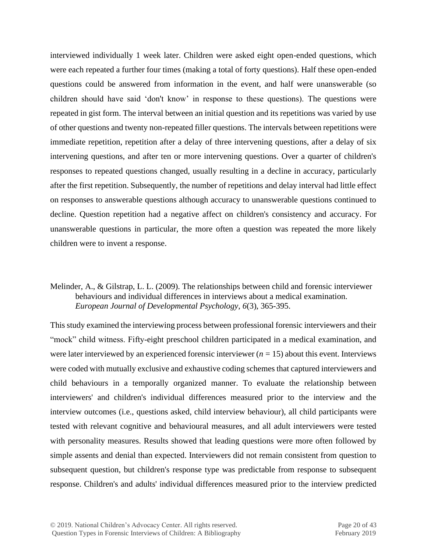interviewed individually 1 week later. Children were asked eight open-ended questions, which were each repeated a further four times (making a total of forty questions). Half these open-ended questions could be answered from information in the event, and half were unanswerable (so children should have said 'don't know' in response to these questions). The questions were repeated in gist form. The interval between an initial question and its repetitions was varied by use of other questions and twenty non-repeated filler questions. The intervals between repetitions were immediate repetition, repetition after a delay of three intervening questions, after a delay of six intervening questions, and after ten or more intervening questions. Over a quarter of children's responses to repeated questions changed, usually resulting in a decline in accuracy, particularly after the first repetition. Subsequently, the number of repetitions and delay interval had little effect on responses to answerable questions although accuracy to unanswerable questions continued to decline. Question repetition had a negative affect on children's consistency and accuracy. For unanswerable questions in particular, the more often a question was repeated the more likely children were to invent a response.

#### Melinder, A., & Gilstrap, L. L. (2009). The relationships between child and forensic interviewer behaviours and individual differences in interviews about a medical examination. *European Journal of Developmental Psychology*, *6*(3), 365-395.

This study examined the interviewing process between professional forensic interviewers and their "mock" child witness. Fifty-eight preschool children participated in a medical examination, and were later interviewed by an experienced forensic interviewer  $(n = 15)$  about this event. Interviews were coded with mutually exclusive and exhaustive coding schemes that captured interviewers and child behaviours in a temporally organized manner. To evaluate the relationship between interviewers' and children's individual differences measured prior to the interview and the interview outcomes (i.e., questions asked, child interview behaviour), all child participants were tested with relevant cognitive and behavioural measures, and all adult interviewers were tested with personality measures. Results showed that leading questions were more often followed by simple assents and denial than expected. Interviewers did not remain consistent from question to subsequent question, but children's response type was predictable from response to subsequent response. Children's and adults' individual differences measured prior to the interview predicted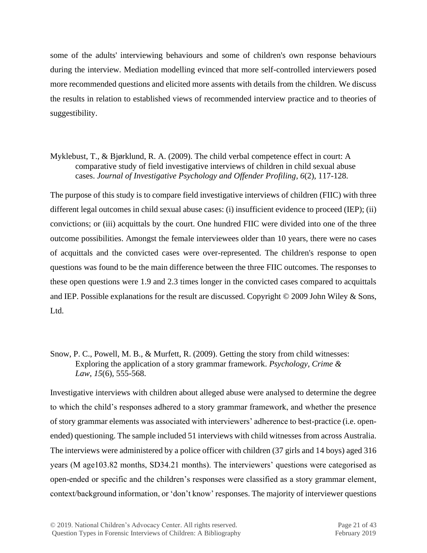some of the adults' interviewing behaviours and some of children's own response behaviours during the interview. Mediation modelling evinced that more self-controlled interviewers posed more recommended questions and elicited more assents with details from the children. We discuss the results in relation to established views of recommended interview practice and to theories of suggestibility.

# Myklebust, T., & Bjørklund, R. A. (2009). The child verbal competence effect in court: A comparative study of field investigative interviews of children in child sexual abuse cases. *Journal of Investigative Psychology and Offender Profiling*, *6*(2), 117-128.

The purpose of this study is to compare field investigative interviews of children (FIIC) with three different legal outcomes in child sexual abuse cases: (i) insufficient evidence to proceed (IEP); (ii) convictions; or (iii) acquittals by the court. One hundred FIIC were divided into one of the three outcome possibilities. Amongst the female interviewees older than 10 years, there were no cases of acquittals and the convicted cases were over-represented. The children's response to open questions was found to be the main difference between the three FIIC outcomes. The responses to these open questions were 1.9 and 2.3 times longer in the convicted cases compared to acquittals and IEP. Possible explanations for the result are discussed. Copyright © 2009 John Wiley & Sons, Ltd.

Snow, P. C., Powell, M. B., & Murfett, R. (2009). [Getting the story from child witnesses:](http://dro.deakin.edu.au/eserv/DU:30022809/powell-gettingthestory-2009.pdf)  [Exploring the application of a story grammar framework.](http://dro.deakin.edu.au/eserv/DU:30022809/powell-gettingthestory-2009.pdf) *Psychology, Crime & Law*, *15*(6), 555-568.

Investigative interviews with children about alleged abuse were analysed to determine the degree to which the child's responses adhered to a story grammar framework, and whether the presence of story grammar elements was associated with interviewers' adherence to best-practice (i.e. openended) questioning. The sample included 51 interviews with child witnesses from across Australia. The interviews were administered by a police officer with children (37 girls and 14 boys) aged 316 years (M age103.82 months, SD34.21 months). The interviewers' questions were categorised as open-ended or specific and the children's responses were classified as a story grammar element, context/background information, or 'don't know' responses. The majority of interviewer questions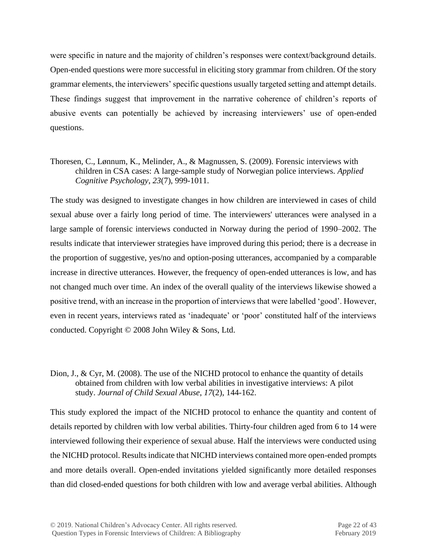were specific in nature and the majority of children's responses were context/background details. Open-ended questions were more successful in eliciting story grammar from children. Of the story grammar elements, the interviewers' specific questions usually targeted setting and attempt details. These findings suggest that improvement in the narrative coherence of children's reports of abusive events can potentially be achieved by increasing interviewers' use of open-ended questions.

# Thoresen, C., Lønnum, K., Melinder, A., & Magnussen, S. (2009). Forensic interviews with children in CSA cases: A large‐sample study of Norwegian police interviews. *Applied Cognitive Psychology*, *23*(7), 999-1011.

The study was designed to investigate changes in how children are interviewed in cases of child sexual abuse over a fairly long period of time. The interviewers' utterances were analysed in a large sample of forensic interviews conducted in Norway during the period of 1990–2002. The results indicate that interviewer strategies have improved during this period; there is a decrease in the proportion of suggestive, yes/no and option-posing utterances, accompanied by a comparable increase in directive utterances. However, the frequency of open-ended utterances is low, and has not changed much over time. An index of the overall quality of the interviews likewise showed a positive trend, with an increase in the proportion of interviews that were labelled 'good'. However, even in recent years, interviews rated as 'inadequate' or 'poor' constituted half of the interviews conducted. Copyright © 2008 John Wiley & Sons, Ltd.

Dion, J., & Cyr, M. (2008). The use of the NICHD protocol to enhance the quantity of details obtained from children with low verbal abilities in investigative interviews: A pilot study. *Journal of Child Sexual Abuse*, *17*(2), 144-162.

This study explored the impact of the NICHD protocol to enhance the quantity and content of details reported by children with low verbal abilities. Thirty-four children aged from 6 to 14 were interviewed following their experience of sexual abuse. Half the interviews were conducted using the NICHD protocol. Results indicate that NICHD interviews contained more open-ended prompts and more details overall. Open-ended invitations yielded significantly more detailed responses than did closed-ended questions for both children with low and average verbal abilities. Although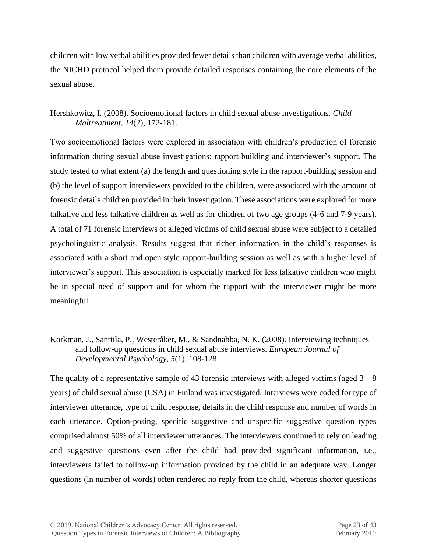children with low verbal abilities provided fewer details than children with average verbal abilities, the NICHD protocol helped them provide detailed responses containing the core elements of the sexual abuse.

# Hershkowitz, I. (2008). Socioemotional factors in child sexual abuse investigations. *Child Maltreatment*, *14*(2), 172-181.

Two socioemotional factors were explored in association with children's production of forensic information during sexual abuse investigations: rapport building and interviewer's support. The study tested to what extent (a) the length and questioning style in the rapport-building session and (b) the level of support interviewers provided to the children, were associated with the amount of forensic details children provided in their investigation. These associations were explored for more talkative and less talkative children as well as for children of two age groups (4-6 and 7-9 years). A total of 71 forensic interviews of alleged victims of child sexual abuse were subject to a detailed psycholinguistic analysis. Results suggest that richer information in the child's responses is associated with a short and open style rapport-building session as well as with a higher level of interviewer's support. This association is especially marked for less talkative children who might be in special need of support and for whom the rapport with the interviewer might be more meaningful.

Korkman, J., Santtila, P., Westeråker, M., & Sandnabba, N. K. (2008). Interviewing techniques and follow-up questions in child sexual abuse interviews. *European Journal of Developmental Psychology*, *5*(1), 108-128.

The quality of a representative sample of 43 forensic interviews with alleged victims (aged  $3 - 8$ ) years) of child sexual abuse (CSA) in Finland was investigated. Interviews were coded for type of interviewer utterance, type of child response, details in the child response and number of words in each utterance. Option-posing, specific suggestive and unspecific suggestive question types comprised almost 50% of all interviewer utterances. The interviewers continued to rely on leading and suggestive questions even after the child had provided significant information, i.e., interviewers failed to follow-up information provided by the child in an adequate way. Longer questions (in number of words) often rendered no reply from the child, whereas shorter questions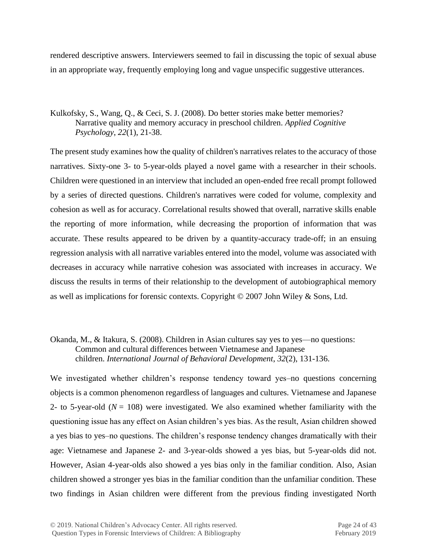rendered descriptive answers. Interviewers seemed to fail in discussing the topic of sexual abuse in an appropriate way, frequently employing long and vague unspecific suggestive utterances.

#### Kulkofsky, S., Wang, Q., & Ceci, S. J. (2008). Do better stories make better memories? Narrative quality and memory accuracy in preschool children. *Applied Cognitive Psychology*, *22*(1), 21-38.

The present study examines how the quality of children's narratives relates to the accuracy of those narratives. Sixty-one 3- to 5-year-olds played a novel game with a researcher in their schools. Children were questioned in an interview that included an open-ended free recall prompt followed by a series of directed questions. Children's narratives were coded for volume, complexity and cohesion as well as for accuracy. Correlational results showed that overall, narrative skills enable the reporting of more information, while decreasing the proportion of information that was accurate. These results appeared to be driven by a quantity-accuracy trade-off; in an ensuing regression analysis with all narrative variables entered into the model, volume was associated with decreases in accuracy while narrative cohesion was associated with increases in accuracy. We discuss the results in terms of their relationship to the development of autobiographical memory as well as implications for forensic contexts. Copyright © 2007 John Wiley & Sons, Ltd.

#### Okanda, M., & Itakura, S. (2008). Children in Asian cultures say yes to yes—no questions: [Common and cultural differences between Vietnamese and Japanese](http://www.ncbi.nlm.nih.gov/pmc/articles/PMC2954668/)  [children.](http://www.ncbi.nlm.nih.gov/pmc/articles/PMC2954668/) *International Journal of Behavioral Development*, *32*(2), 131-136.

We investigated whether children's response tendency toward yes–no questions concerning objects is a common phenomenon regardless of languages and cultures. Vietnamese and Japanese 2- to 5-year-old  $(N = 108)$  were investigated. We also examined whether familiarity with the questioning issue has any effect on Asian children's yes bias. As the result, Asian children showed a yes bias to yes–no questions. The children's response tendency changes dramatically with their age: Vietnamese and Japanese 2- and 3-year-olds showed a yes bias, but 5-year-olds did not. However, Asian 4-year-olds also showed a yes bias only in the familiar condition. Also, Asian children showed a stronger yes bias in the familiar condition than the unfamiliar condition. These two findings in Asian children were different from the previous finding investigated North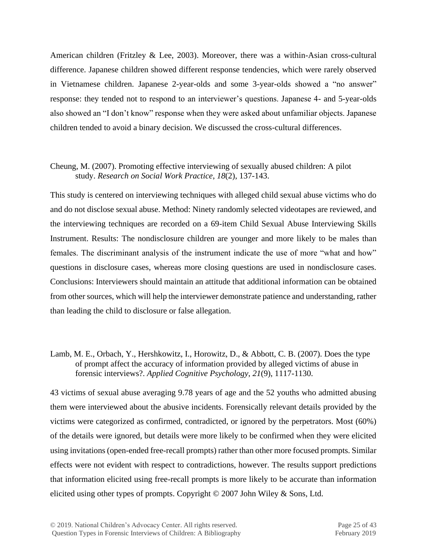American children [\(Fritzley & Lee, 2003\)](http://www.ncbi.nlm.nih.gov/pmc/articles/PMC2954668/#R3). Moreover, there was a within-Asian cross-cultural difference. Japanese children showed different response tendencies, which were rarely observed in Vietnamese children. Japanese 2-year-olds and some 3-year-olds showed a "no answer" response: they tended not to respond to an interviewer's questions. Japanese 4- and 5-year-olds also showed an "I don't know" response when they were asked about unfamiliar objects. Japanese children tended to avoid a binary decision. We discussed the cross-cultural differences.

# Cheung, M. (2007). Promoting effective interviewing of sexually abused children: A pilot study. *Research on Social Work Practice*, *18*(2), 137-143.

This study is centered on interviewing techniques with alleged child sexual abuse victims who do and do not disclose sexual abuse. Method: Ninety randomly selected videotapes are reviewed, and the interviewing techniques are recorded on a 69-item Child Sexual Abuse Interviewing Skills Instrument. Results: The nondisclosure children are younger and more likely to be males than females. The discriminant analysis of the instrument indicate the use of more "what and how" questions in disclosure cases, whereas more closing questions are used in nondisclosure cases. Conclusions: Interviewers should maintain an attitude that additional information can be obtained from other sources, which will help the interviewer demonstrate patience and understanding, rather than leading the child to disclosure or false allegation.

#### Lamb, M. E., Orbach, Y., Hershkowitz, I., Horowitz, D., & Abbott, C. B. (2007). Does the type of prompt affect the accuracy of information provided by alleged victims of abuse in forensic interviews?. *Applied Cognitive Psychology*, *21*(9), 1117-1130.

43 victims of sexual abuse averaging 9.78 years of age and the 52 youths who admitted abusing them were interviewed about the abusive incidents. Forensically relevant details provided by the victims were categorized as confirmed, contradicted, or ignored by the perpetrators. Most (60%) of the details were ignored, but details were more likely to be confirmed when they were elicited using invitations (open-ended free-recall prompts) rather than other more focused prompts. Similar effects were not evident with respect to contradictions, however. The results support predictions that information elicited using free-recall prompts is more likely to be accurate than information elicited using other types of prompts. Copyright © 2007 John Wiley & Sons, Ltd.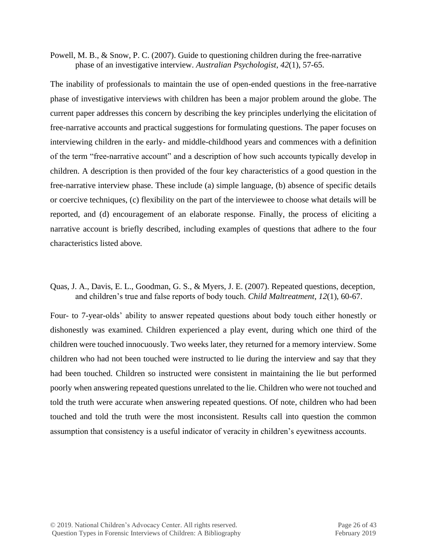Powell, M. B., & Snow, P. C. (2007). Guide to questioning children during the free-narrative phase of an investigative interview. *Australian Psychologist*, *42*(1), 57-65.

The inability of professionals to maintain the use of open-ended questions in the free-narrative phase of investigative interviews with children has been a major problem around the globe. The current paper addresses this concern by describing the key principles underlying the elicitation of free-narrative accounts and practical suggestions for formulating questions. The paper focuses on interviewing children in the early- and middle-childhood years and commences with a definition of the term "free-narrative account" and a description of how such accounts typically develop in children. A description is then provided of the four key characteristics of a good question in the free-narrative interview phase. These include (a) simple language, (b) absence of specific details or coercive techniques, (c) flexibility on the part of the interviewee to choose what details will be reported, and (d) encouragement of an elaborate response. Finally, the process of eliciting a narrative account is briefly described, including examples of questions that adhere to the four characteristics listed above*.*

Quas, J. A., Davis, E. L., Goodman, G. S., & Myers, J. E. (2007). Repeated questions, deception, and children's true and false reports of body touch. *Child Maltreatment*, *12*(1), 60-67.

Four- to 7-year-olds' ability to answer repeated questions about body touch either honestly or dishonestly was examined. Children experienced a play event, during which one third of the children were touched innocuously. Two weeks later, they returned for a memory interview. Some children who had not been touched were instructed to lie during the interview and say that they had been touched. Children so instructed were consistent in maintaining the lie but performed poorly when answering repeated questions unrelated to the lie. Children who were not touched and told the truth were accurate when answering repeated questions. Of note, children who had been touched and told the truth were the most inconsistent. Results call into question the common assumption that consistency is a useful indicator of veracity in children's eyewitness accounts.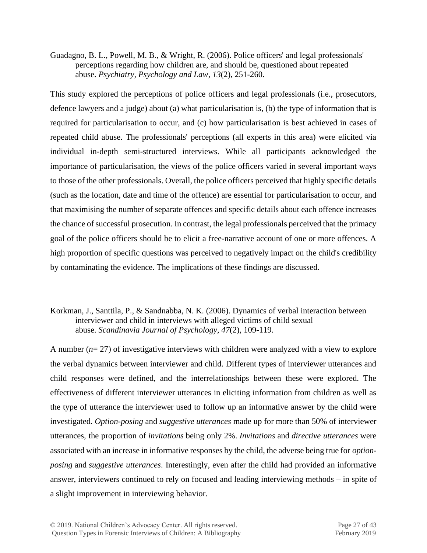Guadagno, B. L., Powell, M. B., & Wright, R. (2006). Police officers' and legal professionals' perceptions regarding how children are, and should be, questioned about repeated abuse. *Psychiatry, Psychology and Law*, *13*(2), 251-260.

This study explored the perceptions of police officers and legal professionals (i.e., prosecutors, defence lawyers and a judge) about (a) what particularisation is, (b) the type of information that is required for particularisation to occur, and (c) how particularisation is best achieved in cases of repeated child abuse. The professionals' perceptions (all experts in this area) were elicited via individual in-depth semi-structured interviews. While all participants acknowledged the importance of particularisation, the views of the police officers varied in several important ways to those of the other professionals. Overall, the police officers perceived that highly specific details (such as the location, date and time of the offence) are essential for particularisation to occur, and that maximising the number of separate offences and specific details about each offence increases the chance of successful prosecution. In contrast, the legal professionals perceived that the primacy goal of the police officers should be to elicit a free-narrative account of one or more offences. A high proportion of specific questions was perceived to negatively impact on the child's credibility by contaminating the evidence. The implications of these findings are discussed.

#### Korkman, J., Santtila, P., & Sandnabba, N. K. (2006). Dynamics of verbal interaction between interviewer and child in interviews with alleged victims of child sexual abuse. *Scandinavia Journal of Psychology*, *47*(2), 109-119.

A number (*n*= 27) of investigative interviews with children were analyzed with a view to explore the verbal dynamics between interviewer and child. Different types of interviewer utterances and child responses were defined, and the interrelationships between these were explored. The effectiveness of different interviewer utterances in eliciting information from children as well as the type of utterance the interviewer used to follow up an informative answer by the child were investigated. *Option-posing* and *suggestive utterances* made up for more than 50% of interviewer utterances, the proportion of *invitations* being only 2%. *Invitations* and *directive utterances* were associated with an increase in informative responses by the child, the adverse being true for *optionposing* and *suggestive utterances*. Interestingly, even after the child had provided an informative answer, interviewers continued to rely on focused and leading interviewing methods – in spite of a slight improvement in interviewing behavior.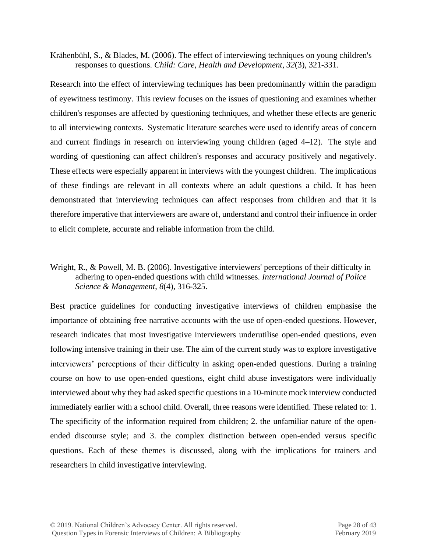Krähenbühl, S., & Blades, M. (2006). The effect of interviewing techniques on young children's responses to questions. *Child: Care, Health and Development*, *32*(3), 321-331.

Research into the effect of interviewing techniques has been predominantly within the paradigm of eyewitness testimony. This review focuses on the issues of questioning and examines whether children's responses are affected by questioning techniques, and whether these effects are generic to all interviewing contexts. Systematic literature searches were used to identify areas of concern and current findings in research on interviewing young children (aged 4–12). The style and wording of questioning can affect children's responses and accuracy positively and negatively. These effects were especially apparent in interviews with the youngest children. The implications of these findings are relevant in all contexts where an adult questions a child. It has been demonstrated that interviewing techniques can affect responses from children and that it is therefore imperative that interviewers are aware of, understand and control their influence in order to elicit complete, accurate and reliable information from the child.

Wright, R., & Powell, M. B. (2006). Investigative interviewers' perceptions of their difficulty in adhering to open-ended questions with child witnesses. *International Journal of Police Science & Management*, *8*(4), 316-325.

Best practice guidelines for conducting investigative interviews of children emphasise the importance of obtaining free narrative accounts with the use of open-ended questions. However, research indicates that most investigative interviewers underutilise open-ended questions, even following intensive training in their use. The aim of the current study was to explore investigative interviewers' perceptions of their difficulty in asking open-ended questions. During a training course on how to use open-ended questions, eight child abuse investigators were individually interviewed about why they had asked specific questions in a 10-minute mock interview conducted immediately earlier with a school child. Overall, three reasons were identified. These related to: 1. The specificity of the information required from children; 2. the unfamiliar nature of the openended discourse style; and 3. the complex distinction between open-ended versus specific questions. Each of these themes is discussed, along with the implications for trainers and researchers in child investigative interviewing.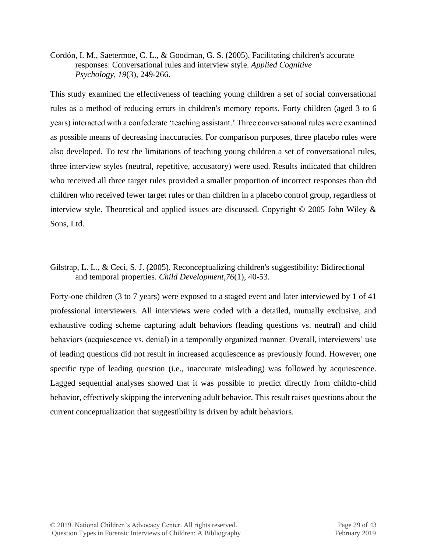Cordón, I. M., Saetermoe, C. L., & Goodman, G. S. (2005). Facilitating children's accurate responses: Conversational rules and interview style. *Applied Cognitive Psychology*, *19*(3), 249-266.

This study examined the effectiveness of teaching young children a set of social conversational rules as a method of reducing errors in children's memory reports. Forty children (aged 3 to 6 years) interacted with a confederate 'teaching assistant.' Three conversational rules were examined as possible means of decreasing inaccuracies. For comparison purposes, three placebo rules were also developed. To test the limitations of teaching young children a set of conversational rules, three interview styles (neutral, repetitive, accusatory) were used. Results indicated that children who received all three target rules provided a smaller proportion of incorrect responses than did children who received fewer target rules or than children in a placebo control group, regardless of interview style. Theoretical and applied issues are discussed. Copyright © 2005 John Wiley & Sons, Ltd.

Gilstrap, L. L., & Ceci, S. J. (2005). [Reconceptualizing children's suggestibility: Bidirectional](http://www.uccs.edu/Documents/lgilstrap/GILSTRAP_CECI_2005.pdf)  [and temporal properties.](http://www.uccs.edu/Documents/lgilstrap/GILSTRAP_CECI_2005.pdf) *Child Development*,*76*(1), 40-53.

Forty-one children (3 to 7 years) were exposed to a staged event and later interviewed by 1 of 41 professional interviewers. All interviews were coded with a detailed, mutually exclusive, and exhaustive coding scheme capturing adult behaviors (leading questions vs. neutral) and child behaviors (acquiescence vs. denial) in a temporally organized manner. Overall, interviewers' use of leading questions did not result in increased acquiescence as previously found. However, one specific type of leading question (i.e., inaccurate misleading) was followed by acquiescence. Lagged sequential analyses showed that it was possible to predict directly from childto-child behavior, effectively skipping the intervening adult behavior. This result raises questions about the current conceptualization that suggestibility is driven by adult behaviors.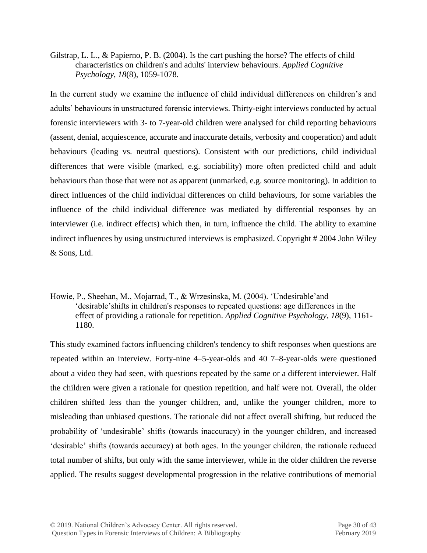Gilstrap, L. L., & Papierno, P. B. (2004). [Is the cart pushing the horse? The effects of child](http://www.uccs.edu/Documents/lgilstrap/GILSTRAP_PAPIERNO_2004.pdf)  [characteristics on children's and adults' interview behaviours.](http://www.uccs.edu/Documents/lgilstrap/GILSTRAP_PAPIERNO_2004.pdf) *Applied Cognitive Psychology*, *18*(8), 1059-1078.

In the current study we examine the influence of child individual differences on children's and adults' behaviours in unstructured forensic interviews. Thirty-eight interviews conducted by actual forensic interviewers with 3- to 7-year-old children were analysed for child reporting behaviours (assent, denial, acquiescence, accurate and inaccurate details, verbosity and cooperation) and adult behaviours (leading vs. neutral questions). Consistent with our predictions, child individual differences that were visible (marked, e.g. sociability) more often predicted child and adult behaviours than those that were not as apparent (unmarked, e.g. source monitoring). In addition to direct influences of the child individual differences on child behaviours, for some variables the influence of the child individual difference was mediated by differential responses by an interviewer (i.e. indirect effects) which then, in turn, influence the child. The ability to examine indirect influences by using unstructured interviews is emphasized. Copyright # 2004 John Wiley & Sons, Ltd.

Howie, P., Sheehan, M., Mojarrad, T., & Wrzesinska, M. (2004). 'Undesirable'and 'desirable'shifts in children's responses to repeated questions: age differences in the effect of providing a rationale for repetition. *Applied Cognitive Psychology*, *18*(9), 1161- 1180.

This study examined factors influencing children's tendency to shift responses when questions are repeated within an interview. Forty-nine 4–5-year-olds and 40 7–8-year-olds were questioned about a video they had seen, with questions repeated by the same or a different interviewer. Half the children were given a rationale for question repetition, and half were not. Overall, the older children shifted less than the younger children, and, unlike the younger children, more to misleading than unbiased questions. The rationale did not affect overall shifting, but reduced the probability of 'undesirable' shifts (towards inaccuracy) in the younger children, and increased 'desirable' shifts (towards accuracy) at both ages. In the younger children, the rationale reduced total number of shifts, but only with the same interviewer, while in the older children the reverse applied. The results suggest developmental progression in the relative contributions of memorial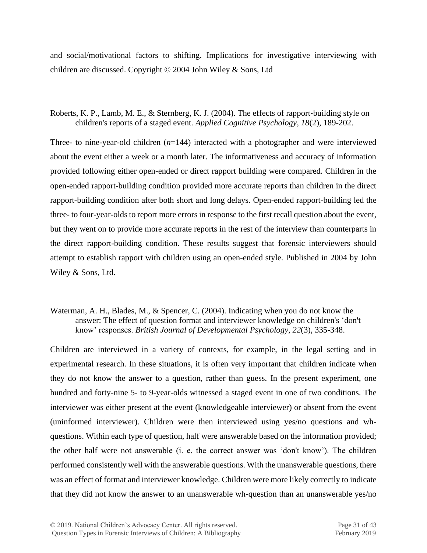and social/motivational factors to shifting. Implications for investigative interviewing with children are discussed. Copyright © 2004 John Wiley & Sons, Ltd

# Roberts, K. P., Lamb, M. E., & Sternberg, K. J. (2004). The effects of rapport-building style on children's reports of a staged event. *Applied Cognitive Psychology*, *18*(2), 189-202.

Three- to nine-year-old children (*n*=144) interacted with a photographer and were interviewed about the event either a week or a month later. The informativeness and accuracy of information provided following either open-ended or direct rapport building were compared. Children in the open-ended rapport-building condition provided more accurate reports than children in the direct rapport-building condition after both short and long delays. Open-ended rapport-building led the three- to four-year-olds to report more errors in response to the first recall question about the event, but they went on to provide more accurate reports in the rest of the interview than counterparts in the direct rapport-building condition. These results suggest that forensic interviewers should attempt to establish rapport with children using an open-ended style. Published in 2004 by John Wiley & Sons, Ltd.

#### Waterman, A. H., Blades, M., & Spencer, C. (2004). Indicating when you do not know the answer: The effect of question format and interviewer knowledge on children's 'don't know' responses. *British Journal of Developmental Psychology*, *22*(3), 335-348.

Children are interviewed in a variety of contexts, for example, in the legal setting and in experimental research. In these situations, it is often very important that children indicate when they do not know the answer to a question, rather than guess. In the present experiment, one hundred and forty-nine 5- to 9-year-olds witnessed a staged event in one of two conditions. The interviewer was either present at the event (knowledgeable interviewer) or absent from the event (uninformed interviewer). Children were then interviewed using yes/no questions and whquestions. Within each type of question, half were answerable based on the information provided; the other half were not answerable (i. e. the correct answer was 'don't know'). The children performed consistently well with the answerable questions. With the unanswerable questions, there was an effect of format and interviewer knowledge. Children were more likely correctly to indicate that they did not know the answer to an unanswerable wh-question than an unanswerable yes/no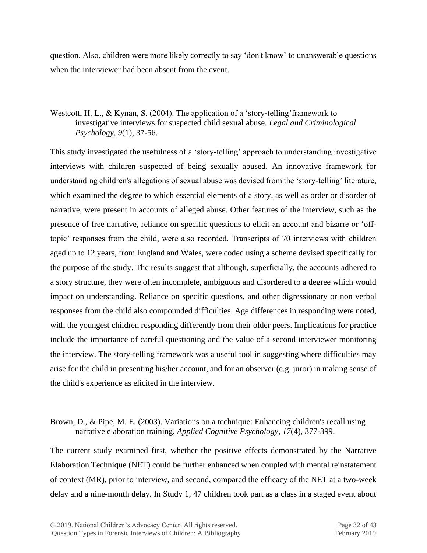question. Also, children were more likely correctly to say 'don't know' to unanswerable questions when the interviewer had been absent from the event.

#### Westcott, H. L., & Kynan, S. (2004). The application of a 'story-telling' framework to investigative interviews for suspected child sexual abuse. *Legal and Criminological Psychology*, *9*(1), 37-56.

This study investigated the usefulness of a 'story-telling' approach to understanding investigative interviews with children suspected of being sexually abused. An innovative framework for understanding children's allegations of sexual abuse was devised from the 'story-telling' literature, which examined the degree to which essential elements of a story, as well as order or disorder of narrative, were present in accounts of alleged abuse. Other features of the interview, such as the presence of free narrative, reliance on specific questions to elicit an account and bizarre or 'offtopic' responses from the child, were also recorded. Transcripts of 70 interviews with children aged up to 12 years, from England and Wales, were coded using a scheme devised specifically for the purpose of the study. The results suggest that although, superficially, the accounts adhered to a story structure, they were often incomplete, ambiguous and disordered to a degree which would impact on understanding. Reliance on specific questions, and other digressionary or non verbal responses from the child also compounded difficulties. Age differences in responding were noted, with the youngest children responding differently from their older peers. Implications for practice include the importance of careful questioning and the value of a second interviewer monitoring the interview. The story-telling framework was a useful tool in suggesting where difficulties may arise for the child in presenting his/her account, and for an observer (e.g. juror) in making sense of the child's experience as elicited in the interview.

#### Brown, D., & Pipe, M. E. (2003). Variations on a technique: Enhancing children's recall using narrative elaboration training. *Applied Cognitive Psychology*, *17*(4), 377-399.

The current study examined first, whether the positive effects demonstrated by the Narrative Elaboration Technique (NET) could be further enhanced when coupled with mental reinstatement of context (MR), prior to interview, and second, compared the efficacy of the NET at a two-week delay and a nine-month delay. In Study 1, 47 children took part as a class in a staged event about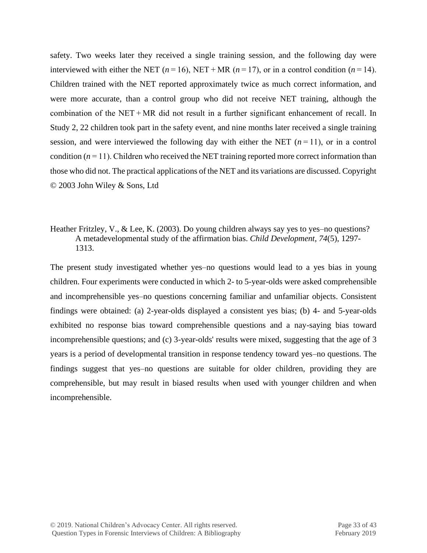safety. Two weeks later they received a single training session, and the following day were interviewed with either the NET ( $n = 16$ ), NET + MR ( $n = 17$ ), or in a control condition ( $n = 14$ ). Children trained with the NET reported approximately twice as much correct information, and were more accurate, than a control group who did not receive NET training, although the combination of the NET + MR did not result in a further significant enhancement of recall. In Study 2, 22 children took part in the safety event, and nine months later received a single training session, and were interviewed the following day with either the NET  $(n=11)$ , or in a control condition  $(n = 11)$ . Children who received the NET training reported more correct information than those who did not. The practical applications of the NET and its variations are discussed. Copyright © 2003 John Wiley & Sons, Ltd

Heather Fritzley, V., & Lee, K. (2003). [Do young children always say yes to yes–no questions?](http://www.nlc-bnc.ca/obj/s4/f2/dsk2/ftp01/MQ52986.pdf)  [A metadevelopmental study of the affirmation bias.](http://www.nlc-bnc.ca/obj/s4/f2/dsk2/ftp01/MQ52986.pdf) *Child Development*, *74*(5), 1297- 1313.

The present study investigated whether yes–no questions would lead to a yes bias in young children. Four experiments were conducted in which 2- to 5-year-olds were asked comprehensible and incomprehensible yes–no questions concerning familiar and unfamiliar objects. Consistent findings were obtained: (a) 2-year-olds displayed a consistent yes bias; (b) 4- and 5-year-olds exhibited no response bias toward comprehensible questions and a nay-saying bias toward incomprehensible questions; and (c) 3-year-olds' results were mixed, suggesting that the age of 3 years is a period of developmental transition in response tendency toward yes–no questions. The findings suggest that yes–no questions are suitable for older children, providing they are comprehensible, but may result in biased results when used with younger children and when incomprehensible.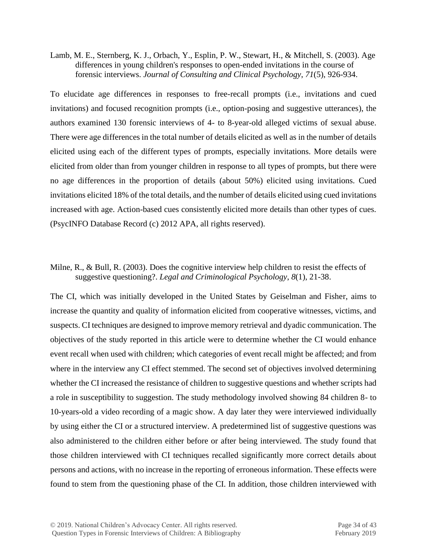Lamb, M. E., Sternberg, K. J., Orbach, Y., Esplin, P. W., Stewart, H., & Mitchell, S. (2003). Age differences in young children's responses to open-ended invitations in the course of forensic interviews. *Journal of Consulting and Clinical Psychology*, *71*(5), 926-934.

To elucidate age differences in responses to free-recall prompts (i.e., invitations and cued invitations) and focused recognition prompts (i.e., option-posing and suggestive utterances), the authors examined 130 forensic interviews of 4- to 8-year-old alleged victims of sexual abuse. There were age differences in the total number of details elicited as well as in the number of details elicited using each of the different types of prompts, especially invitations. More details were elicited from older than from younger children in response to all types of prompts, but there were no age differences in the proportion of details (about 50%) elicited using invitations. Cued invitations elicited 18% of the total details, and the number of details elicited using cued invitations increased with age. Action-based cues consistently elicited more details than other types of cues. (PsycINFO Database Record (c) 2012 APA, all rights reserved).

#### Milne, R., & Bull, R. (2003). Does the cognitive interview help children to resist the effects of suggestive questioning?. *Legal and Criminological Psychology*, *8*(1), 21-38.

The CI, which was initially developed in the United States by Geiselman and Fisher, aims to increase the quantity and quality of information elicited from cooperative witnesses, victims, and suspects. CI techniques are designed to improve memory retrieval and dyadic communication. The objectives of the study reported in this article were to determine whether the CI would enhance event recall when used with children; which categories of event recall might be affected; and from where in the interview any CI effect stemmed. The second set of objectives involved determining whether the CI increased the resistance of children to suggestive questions and whether scripts had a role in susceptibility to suggestion. The study methodology involved showing 84 children 8- to 10-years-old a video recording of a magic show. A day later they were interviewed individually by using either the CI or a structured interview. A predetermined list of suggestive questions was also administered to the children either before or after being interviewed. The study found that those children interviewed with CI techniques recalled significantly more correct details about persons and actions, with no increase in the reporting of erroneous information. These effects were found to stem from the questioning phase of the CI. In addition, those children interviewed with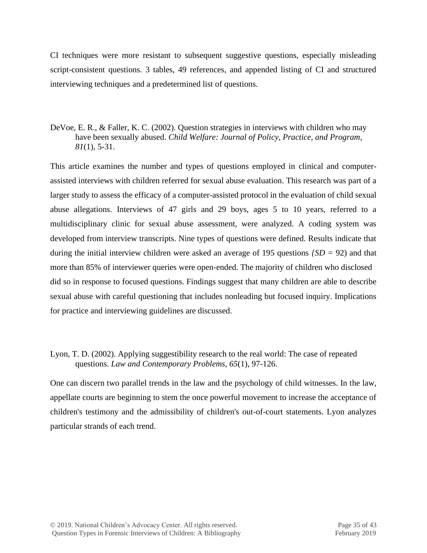CI techniques were more resistant to subsequent suggestive questions, especially misleading script-consistent questions. 3 tables, 49 references, and appended listing of CI and structured interviewing techniques and a predetermined list of questions.

DeVoe, E. R., & Faller, K. C. (2002). Question strategies in interviews with children who may have been sexually abused. *Child Welfare: Journal of Policy, Practice, and Program*, *81*(1), 5-31.

This article examines the number and types of questions employed in clinical and computerassisted interviews with children referred for sexual abuse evaluation. This research was part of a larger study to assess the efficacy of a computer-assisted protocol in the evaluation of child sexual abuse allegations. Interviews of 47 girls and 29 boys, ages 5 to 10 years, referred to a multidisciplinary clinic for sexual abuse assessment, were analyzed. A coding system was developed from interview transcripts. Nine types of questions were defined. Results indicate that during the initial interview children were asked an average of 195 questions *{SD =* 92) and that more than 85% of interviewer queries were open-ended. The majority of children who disclosed did so in response to focused questions. Findings suggest that many children are able to describe sexual abuse with careful questioning that includes nonleading but focused inquiry. Implications for practice and interviewing guidelines are discussed.

# Lyon, T. D. (2002). [Applying suggestibility research to the real world: The case of repeated](http://scholarship.law.duke.edu/cgi/viewcontent.cgi?article=1239&context=lcp)  [questions.](http://scholarship.law.duke.edu/cgi/viewcontent.cgi?article=1239&context=lcp) *Law and Contemporary Problems*, *65*(1), 97-126.

One can discern two parallel trends in the law and the psychology of child witnesses. In the law, appellate courts are beginning to stem the once powerful movement to increase the acceptance of children's testimony and the admissibility of children's out-of-court statements. Lyon analyzes particular strands of each trend.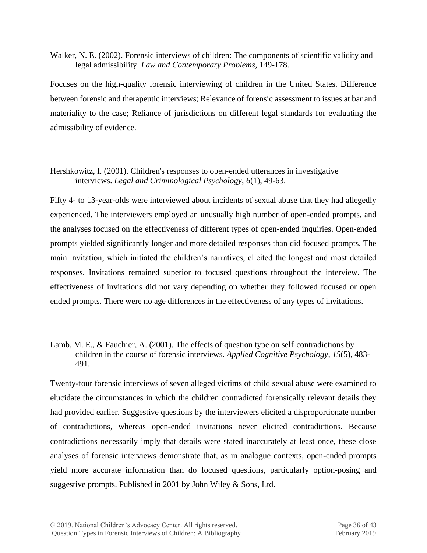Walker, N. E. (2002). [Forensic interviews of children: The components of scientific validity and](http://scholarship.law.duke.edu/cgi/viewcontent.cgi?article=1241&context=lcp)  [legal admissibility.](http://scholarship.law.duke.edu/cgi/viewcontent.cgi?article=1241&context=lcp) *Law and Contemporary Problems*, 149-178.

Focuses on the high-quality forensic interviewing of children in the United States. Difference between forensic and therapeutic interviews; Relevance of forensic assessment to issues at bar and materiality to the case; Reliance of jurisdictions on different legal standards for evaluating the admissibility of evidence.

#### Hershkowitz, I. (2001). Children's responses to open‐ended utterances in investigative interviews. *Legal and Criminological Psychology*, *6*(1), 49-63.

Fifty 4- to 13-year-olds were interviewed about incidents of sexual abuse that they had allegedly experienced. The interviewers employed an unusually high number of open-ended prompts, and the analyses focused on the effectiveness of different types of open-ended inquiries. Open-ended prompts yielded significantly longer and more detailed responses than did focused prompts. The main invitation, which initiated the children's narratives, elicited the longest and most detailed responses. Invitations remained superior to focused questions throughout the interview. The effectiveness of invitations did not vary depending on whether they followed focused or open ended prompts. There were no age differences in the effectiveness of any types of invitations.

#### Lamb, M. E., & Fauchier, A. (2001). The effects of question type on self-contradictions by children in the course of forensic interviews. *Applied Cognitive Psychology*, *15*(5), 483- 491.

Twenty-four forensic interviews of seven alleged victims of child sexual abuse were examined to elucidate the circumstances in which the children contradicted forensically relevant details they had provided earlier. Suggestive questions by the interviewers elicited a disproportionate number of contradictions, whereas open-ended invitations never elicited contradictions. Because contradictions necessarily imply that details were stated inaccurately at least once, these close analyses of forensic interviews demonstrate that, as in analogue contexts, open-ended prompts yield more accurate information than do focused questions, particularly option-posing and suggestive prompts. Published in 2001 by John Wiley & Sons, Ltd.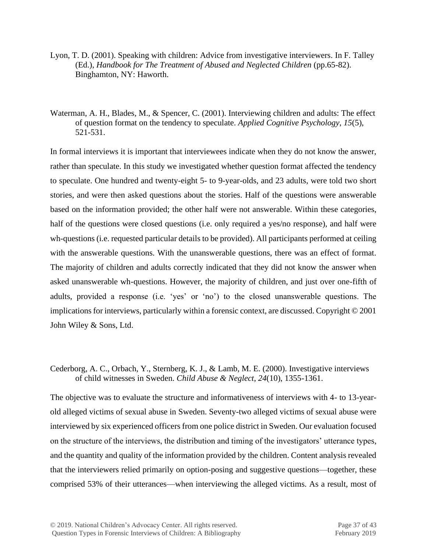- Lyon, T. D. (2001). [Speaking with children: Advice from investigative interviewers.](http://works.bepress.com/thomaslyon/16/) In F. Talley (Ed.), *Handbook for The Treatment of Abused and Neglected Children* (pp.65-82). Binghamton, NY: Haworth.
- Waterman, A. H., Blades, M., & Spencer, C. (2001). Interviewing children and adults: The effect of question format on the tendency to speculate. *Applied Cognitive Psychology*, *15*(5), 521-531.

In formal interviews it is important that interviewees indicate when they do not know the answer, rather than speculate. In this study we investigated whether question format affected the tendency to speculate. One hundred and twenty-eight 5- to 9-year-olds, and 23 adults, were told two short stories, and were then asked questions about the stories. Half of the questions were answerable based on the information provided; the other half were not answerable. Within these categories, half of the questions were closed questions (i.e. only required a yes/no response), and half were wh-questions (i.e. requested particular details to be provided). All participants performed at ceiling with the answerable questions. With the unanswerable questions, there was an effect of format. The majority of children and adults correctly indicated that they did not know the answer when asked unanswerable wh-questions. However, the majority of children, and just over one-fifth of adults, provided a response (i.e. 'yes' or 'no') to the closed unanswerable questions. The implications for interviews, particularly within a forensic context, are discussed. Copyright © 2001 John Wiley & Sons, Ltd.

Cederborg, A. C., Orbach, Y., Sternberg, K. J., & Lamb, M. E. (2000). Investigative interviews of child witnesses in Sweden. *Child Abuse & Neglect*, *24*(10), 1355-1361.

The objective was to evaluate the structure and informativeness of interviews with 4- to 13-yearold alleged victims of sexual abuse in Sweden. Seventy-two alleged victims of sexual abuse were interviewed by six experienced officers from one police district in Sweden. Our evaluation focused on the structure of the interviews, the distribution and timing of the investigators' utterance types, and the quantity and quality of the information provided by the children. Content analysis revealed that the interviewers relied primarily on option-posing and suggestive questions—together, these comprised 53% of their utterances—when interviewing the alleged victims. As a result, most of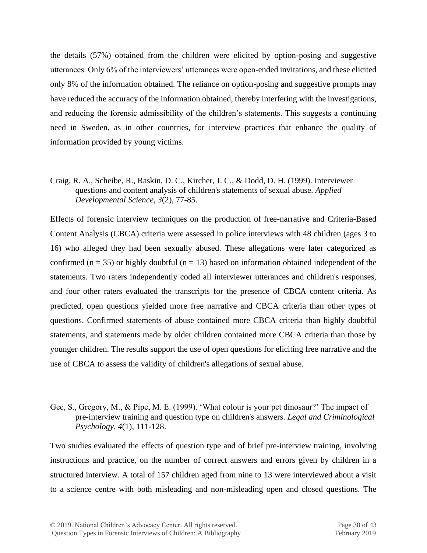the details (57%) obtained from the children were elicited by option-posing and suggestive utterances. Only 6% of the interviewers' utterances were open-ended invitations, and these elicited only 8% of the information obtained. The reliance on option-posing and suggestive prompts may have reduced the accuracy of the information obtained, thereby interfering with the investigations, and reducing the forensic admissibility of the children's statements. This suggests a continuing need in Sweden, as in other countries, for interview practices that enhance the quality of information provided by young victims.

Craig, R. A., Scheibe, R., Raskin, D. C., Kircher, J. C., & Dodd, D. H. (1999). Interviewer questions and content analysis of children's statements of sexual abuse. *Applied Developmental Science*, *3*(2), 77-85.

Effects of forensic interview techniques on the production of free-narrative and Criteria-Based Content Analysis (CBCA) criteria were assessed in police interviews with 48 children (ages 3 to 16) who alleged they had been sexually abused. These allegations were later categorized as confirmed ( $n = 35$ ) or highly doubtful ( $n = 13$ ) based on information obtained independent of the statements. Two raters independently coded all interviewer utterances and children's responses, and four other raters evaluated the transcripts for the presence of CBCA content criteria. As predicted, open questions yielded more free narrative and CBCA criteria than other types of questions. Confirmed statements of abuse contained more CBCA criteria than highly doubtful statements, and statements made by older children contained more CBCA criteria than those by younger children. The results support the use of open questions for eliciting free narrative and the use of CBCA to assess the validity of children's allegations of sexual abuse.

# Gee, S., Gregory, M., & Pipe, M. E. (1999). 'What colour is your pet dinosaur?' The impact of pre‐interview training and question type on children's answers. *Legal and Criminological Psychology*, *4*(1), 111-128.

Two studies evaluated the effects of question type and of brief pre-interview training, involving instructions and practice, on the number of correct answers and errors given by children in a structured interview. A total of 157 children aged from nine to 13 were interviewed about a visit to a science centre with both misleading and non-misleading open and closed questions. The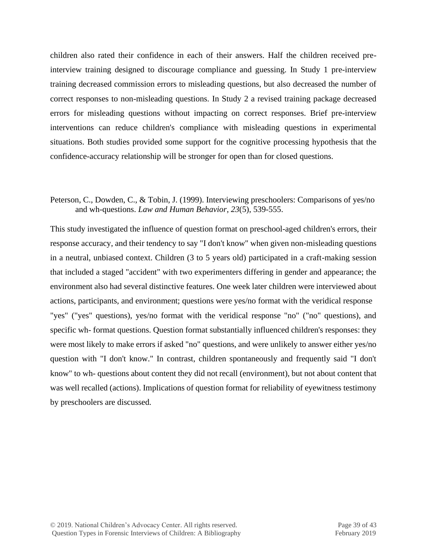children also rated their confidence in each of their answers. Half the children received preinterview training designed to discourage compliance and guessing. In Study 1 pre-interview training decreased commission errors to misleading questions, but also decreased the number of correct responses to non-misleading questions. In Study 2 a revised training package decreased errors for misleading questions without impacting on correct responses. Brief pre-interview interventions can reduce children's compliance with misleading questions in experimental situations. Both studies provided some support for the cognitive processing hypothesis that the confidence-accuracy relationship will be stronger for open than for closed questions.

#### Peterson, C., Dowden, C., & Tobin, J. (1999). Interviewing preschoolers: Comparisons of yes/no and wh-questions. *Law and Human Behavior*, *23*(5), 539-555.

This study investigated the influence of question format on preschool-aged children's errors, their response accuracy, and their tendency to say "I don't know" when given non-misleading questions in a neutral, unbiased context. Children (3 to 5 years old) participated in a craft-making session that included a staged "accident" with two experimenters differing in gender and appearance; the environment also had several distinctive features. One week later children were interviewed about actions, participants, and environment; questions were yes/no format with the veridical response "yes" ("yes" questions), yes/no format with the veridical response "no" ("no" questions), and specific wh- format questions. Question format substantially influenced children's responses: they were most likely to make errors if asked "no" questions, and were unlikely to answer either yes/no question with "I don't know." In contrast, children spontaneously and frequently said "I don't know" to wh- questions about content they did not recall (environment), but not about content that was well recalled (actions). Implications of question format for reliability of eyewitness testimony by preschoolers are discussed*.*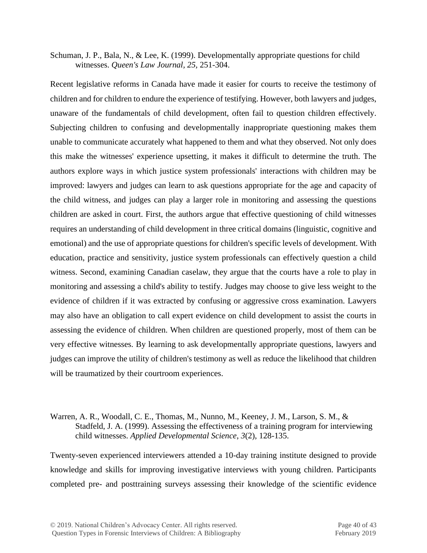Schuman, J. P., Bala, N., & Lee, K. (1999). Developmentally appropriate questions for child witnesses. *Queen's Law Journal, 25,* 251-304.

Recent legislative reforms in Canada have made it easier for courts to receive the testimony of children and for children to endure the experience of testifying. However, both lawyers and judges, unaware of the fundamentals of child development, often fail to question children effectively. Subjecting children to confusing and developmentally inappropriate questioning makes them unable to communicate accurately what happened to them and what they observed. Not only does this make the witnesses' experience upsetting, it makes it difficult to determine the truth. The authors explore ways in which justice system professionals' interactions with children may be improved: lawyers and judges can learn to ask questions appropriate for the age and capacity of the child witness, and judges can play a larger role in monitoring and assessing the questions children are asked in court. First, the authors argue that effective questioning of child witnesses requires an understanding of child development in three critical domains (linguistic, cognitive and emotional) and the use of appropriate questions for children's specific levels of development. With education, practice and sensitivity, justice system professionals can effectively question a child witness. Second, examining Canadian caselaw, they argue that the courts have a role to play in monitoring and assessing a child's ability to testify. Judges may choose to give less weight to the evidence of children if it was extracted by confusing or aggressive cross examination. Lawyers may also have an obligation to call expert evidence on child development to assist the courts in assessing the evidence of children. When children are questioned properly, most of them can be very effective witnesses. By learning to ask developmentally appropriate questions, lawyers and judges can improve the utility of children's testimony as well as reduce the likelihood that children will be traumatized by their courtroom experiences.

#### Warren, A. R., Woodall, C. E., Thomas, M., Nunno, M., Keeney, J. M., Larson, S. M., & Stadfeld, J. A. (1999). Assessing the effectiveness of a training program for interviewing child witnesses. *Applied Developmental Science*, *3*(2), 128-135.

Twenty-seven experienced interviewers attended a 10-day training institute designed to provide knowledge and skills for improving investigative interviews with young children. Participants completed pre- and posttraining surveys assessing their knowledge of the scientific evidence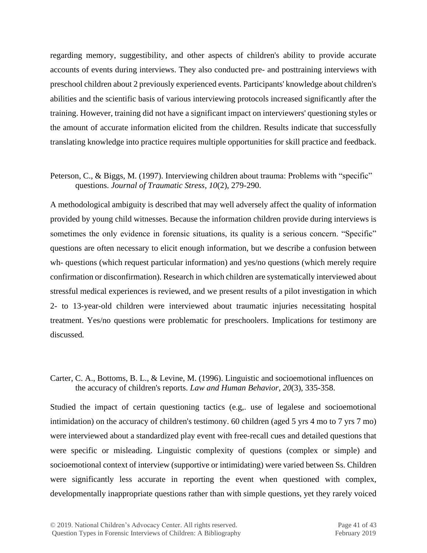regarding memory, suggestibility, and other aspects of children's ability to provide accurate accounts of events during interviews. They also conducted pre- and posttraining interviews with preschool children about 2 previously experienced events. Participants' knowledge about children's abilities and the scientific basis of various interviewing protocols increased significantly after the training. However, training did not have a significant impact on interviewers' questioning styles or the amount of accurate information elicited from the children. Results indicate that successfully translating knowledge into practice requires multiple opportunities for skill practice and feedback.

#### Peterson, C., & Biggs, M. (1997). Interviewing children about trauma: Problems with "specific" questions. *Journal of Traumatic Stress*, *10*(2), 279-290.

A methodological ambiguity is described that may well adversely affect the quality of information provided by young child witnesses. Because the information children provide during interviews is sometimes the only evidence in forensic situations, its quality is a serious concern. "Specific" questions are often necessary to elicit enough information, but we describe a confusion between wh- questions (which request particular information) and yes/no questions (which merely require confirmation or disconfirmation). Research in which children are systematically interviewed about stressful medical experiences is reviewed, and we present results of a pilot investigation in which 2- to 13-year-old children were interviewed about traumatic injuries necessitating hospital treatment. Yes/no questions were problematic for preschoolers. Implications for testimony are discussed*.*

Carter, C. A., Bottoms, B. L., & Levine, M. (1996). Linguistic and socioemotional influences on the accuracy of children's reports. *Law and Human Behavior, 20*(3), 335-358.

Studied the impact of certain questioning tactics (e.g,. use of legalese and socioemotional intimidation) on the accuracy of children's testimony. 60 children (aged 5 yrs 4 mo to 7 yrs 7 mo) were interviewed about a standardized play event with free-recall cues and detailed questions that were specific or misleading. Linguistic complexity of questions (complex or simple) and socioemotional context of interview (supportive or intimidating) were varied between Ss. Children were significantly less accurate in reporting the event when questioned with complex, developmentally inappropriate questions rather than with simple questions, yet they rarely voiced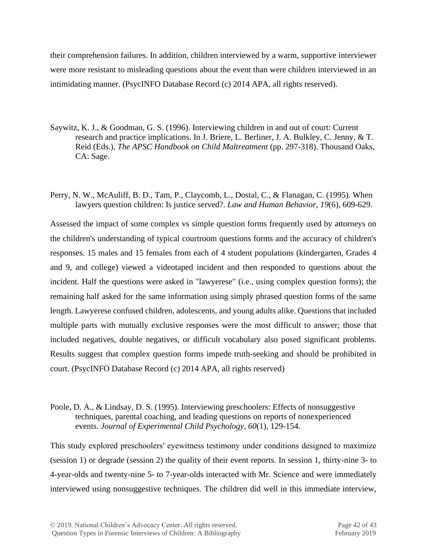their comprehension failures. In addition, children interviewed by a warm, supportive interviewer were more resistant to misleading questions about the event than were children interviewed in an intimidating manner. (PsycINFO Database Record (c) 2014 APA, all rights reserved).

- Saywitz, K. J., & Goodman, G. S. (1996). Interviewing children in and out of court: Current research and practice implications. In J. Briere, L. Berliner, J. A. Bulkley, C. Jenny, & T. Reid (Eds.), *The APSC Handbook on Child Maltreatment* (pp. 297-318). Thousand Oaks, CA: Sage.
- Perry, N. W., McAuliff, B. D., Tam, P., Claycomb, L., Dostal, C., & Flanagan, C. (1995). When lawyers question children: Is justice served?. *Law and Human Behavior*, *19*(6), 609-629.

Assessed the impact of some complex vs simple question forms frequently used by attorneys on the children's understanding of typical courtroom questions forms and the accuracy of children's responses. 15 males and 15 females from each of 4 student populations (kindergarten, Grades 4 and 9, and college) viewed a videotaped incident and then responded to questions about the incident. Half the questions were asked in "lawyerese" (i.e., using complex question forms); the remaining half asked for the same information using simply phrased question forms of the same length. Lawyerese confused children, adolescents, and young adults alike. Questions that included multiple parts with mutually exclusive responses were the most difficult to answer; those that included negatives, double negatives, or difficult vocabulary also posed significant problems. Results suggest that complex question forms impede truth-seeking and should be prohibited in court. (PsycINFO Database Record (c) 2014 APA, all rights reserved)

Poole, D. A., & Lindsay, D. S. (1995). Interviewing preschoolers: Effects of nonsuggestive techniques, parental coaching, and leading questions on reports of nonexperienced events. *Journal of Experimental Child Psychology*, *60*(1), 129-154.

This study explored preschoolers′ eyewitness testimony under conditions designed to maximize (session 1) or degrade (session 2) the quality of their event reports. In session 1, thirty-nine 3- to 4-year-olds and twenty-nine 5- to 7-year-olds interacted with Mr. Science and were immediately interviewed using nonsuggestive techniques. The children did well in this immediate interview,